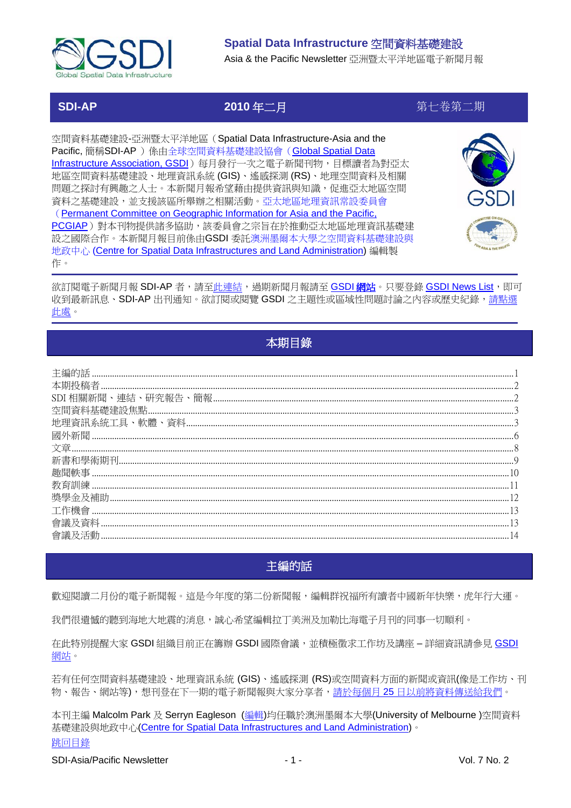

Asia & the Pacific Newsletter 亞洲暨太平洋地區電子新聞月報

 **SDI-AP 2010** 年二月第七卷第二期

空間資料基礎建設-亞洲暨太平洋地區(Spatial Data Infrastructure-Asia and the Pacific, 簡稱SDI-AP ) 係由全球空間資料基礎建設協會 (Global Spatial Data [Infrastructure Association, GSDI](http://www.gsdi.org/))每月發行一次之電子新聞刊物,目標讀者為對亞太 地區空間資料基礎建設、地理資訊系統 (GIS)、遙感探測 (RS)、地理空間資料及相關 問題之探討有興趣之人士。本新聞月報希望藉由提供資訊與知識,促進亞太地區空間 資料之基礎建設,並支援該區所舉辦之相關活動。亞太地區地理資訊常設委員會 ([Permanent Committee on Geographic Information for Asia and the Pacific,](http://www.pcgiap.org/) [PCGIAP](http://www.pcgiap.org/))對本刊物提供諸多協助,該委員會之宗旨在於推動亞太地區地理資訊基礎建 設之國際合作。本新聞月報目前係由GSDI 委託澳洲墨爾本大學之空間資料基礎建設與 地政中心 [\(Centre for Spatial Data Infrastructures and Land Administration\)](http://www.csdila.unimelb.edu.au/) 編輯製 作。



欲訂閱電子新聞月報 SDI-AP 者,請[至此連結,](http://www.gsdi.org/newslist/gsdisubscribe.asp)過期新聞月報請至 [GSDI](http://www.gsdi.org/newsletters.asp) 網站。只要登錄 [GSDI News List](http://www.gsdi.org/newslist/gsdisubscribe.asp), 即可 收到最新訊息、SDI-AP 出刊通知。欲訂閱或閱覽 GSDI 之主題性或區域性問題討論之內容或歷史紀錄[,請點選](http://www.gsdi.org/discussionlists.asp) [此處。](http://www.gsdi.org/discussionlists.asp)

# 本期目錄

<span id="page-0-0"></span>

| 相關新聞 |  |
|------|--|
|      |  |
|      |  |
|      |  |
|      |  |
|      |  |
|      |  |
|      |  |
|      |  |
|      |  |
|      |  |
|      |  |
|      |  |

## 主編的話

<span id="page-0-1"></span>歡迎閱讀二月份的電子新聞報。這是今年度的第二份新聞報,編輯群祝福所有讀者中國新年快樂,虎年行大運。

我們很遺憾的聽到海地大地震的消息,誠心希望編輯拉丁美洲及加勒比海電子月刊的同事一切順利。

在此特別提醒大家 [GSDI](http://www.gsdi.org/node/246) 組織目前正在籌辦 GSDI 國際會議,並積極徵求工作坊及講座 – 詳細資訊請參見 <u>GSDI</u> [網站。](http://www.gsdi.org/node/246)

若有任何空間資料基礎建設、地理資訊系統 (GIS)、遙感探測 (RS)或空間資料方面的新聞或資訊(像是工作坊、刊 物、報告、網站等),想刊登在下一期的電子新聞報與大家分享者,請於每個月 25 [日以前將資料傳送給我們。](mailto:sdi-ap@gsdi.org)

[跳回目錄](#page-0-0) 本刊主編 Malcolm Park 及 Serryn Eagleson ([編輯](mailto:Editor.SDIAP@gmail.com))均任職於澳洲墨爾本大學(University of Melbourne )空間資料 基礎建設與地政中心[\(Centre for Spatial Data Infrastructures and Land Administration\)](http://www.csdila.unimelb.edu.au/)。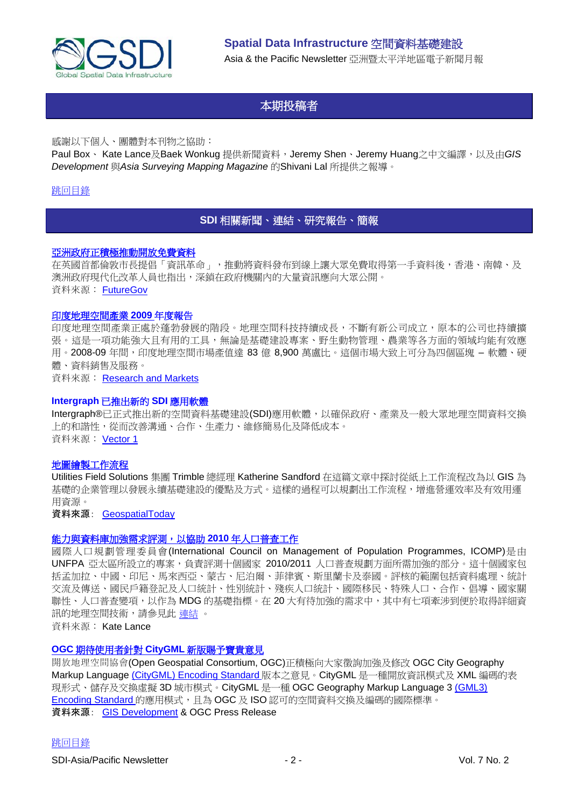

## 本期投稿者

<span id="page-1-0"></span>感謝以下個人、團體對本刊物之協助:

Paul Box、 Kate Lance及Baek Wonkug 提供新聞資料,Jeremy Shen、Jeremy Huang之中文編譯,以及由*GIS*  **Development 與Asia Surveying Mapping Magazine** 的Shivani Lal 所提供之報導。

### <span id="page-1-1"></span>[跳回目錄](#page-0-0)

## **SDI** 相關新聞、連結、研究報告、簡報

### [亞洲政府正積極推動開放免費資料](http://www.futuregov.net/articles/2010/jan/13/govts-eye-gains-setting-data-free/)

在英國首都倫敦市長提倡「資訊革命」,推動將資料發布到線上讓大眾免費取得第一手資料後,香港、南韓、及 澳洲政府現代化改革人員也指出,深鎖在政府機關內的大量資訊應向大眾公開。 資料來源: [FutureGov](http://www.futuregov.net/articles/2010/jan/13/govts-eye-gains-setting-data-free/)

#### [印度地理空間產業](http://www.researchandmarkets.com/reports/1195527/the_indian_geospatial_industry_report_2009.htm) **2009** 年度報告

印度地理空間產業正處於蓬勃發展的階段。地理空間科技持續成長,不斷有新公司成立,原本的公司也持續擴 張。這是一項功能強大且有用的工具,無論是基礎建設專案、野生動物管理、農業等各方面的領域均能有效應 用。2008-09 年間,印度地理空間市場產值達 83 億 8,900 萬盧比。這個市場大致上可分為四個區塊 – 軟體、硬 體、資料銷售及服務。

資料來源: [Research and Markets](http://www.researchandmarkets.com/reports/1195527/the_indian_geospatial_industry_report_2009.htm)

#### **Intergraph** 已推出新的 **SDI** 應用軟體

Intergraph®已正式推出新的空間資料基礎建設(SDI)應用軟體,以確保政府、產業及一般大眾地理空間資料交換 上的和諧性,從而改善溝通、合作、生產力、維修簡易化及降低成本。 資料來源: [Vector 1](http://vector1media.com/news/top-stories/53-corporate-news/7754-intergraph-launches-new-spatial-data-infrastructure-sdi-application)

#### [地圖繪製工作流程](http://geospatialtoday.com/gst/index.php?option=com_content&view=article&id=448)

Utilities Field Solutions 集團 Trimble 總經理 Katherine Sandford 在這篇文章中探討從紙上工作流程改為以 GIS 為 基礎的企業管理以發展永續基礎建設的優點及方式。這樣的過程可以規劃出工作流程,增進營運效率及有效用運 用資源。

資料來源: [GeospatialToday](http://geospatialtoday.com/gst/index.php?option=com_content&view=article&id=448)

#### [能力與資料庫加強需求評測,以協助](http://www.icomp.org.my/Census2010/Census2010.htm) **2010** 年人口普查工作

國際人口規劃管理委員會(International Council on Management of Population Programmes, ICOMP)是由 UNFPA 亞太區所設立的專案,負責評測十個國家 2010/2011 人口普查規劃方面所需加強的部分。這十個國家包 括孟加拉、中國、印尼、馬來西亞、蒙古、尼泊爾、菲律賓、斯里蘭卡及泰國。評核的範圍包括資料處理、統計 交流及傳送、國民戶籍登記及人口統計、性別統計、殘疾人口統計、國際移民、特殊人口、合作、倡導、國家關 聯性、人口普查變項,以作為 MDG 的基礎指標。在 20 大有待加強的需求中,其中有七項牽涉到便於取得詳細資 訊的地理空間技術,請參見此 [連結](http://www.icomp.org.my/Census2010/Census2010.htm) 。

資料來源: Kate Lance

#### **OGC** 期待使用者針對 **CityGML** [新版賜予寶貴意見](http://www.opengeospatial.org/pressroom/pressreleases/1113)

開放地理空間協會(Open Geospatial Consortium, OGC)正積極向大家徵詢加強及修改 OGC City Geography Markup Language [\(CityGML\) Encoding Standard](http://www.opengeospatial.org/standards/citygml) 版本之意見。CityGML 是一種開放資訊模式及 XML 編碼的表 現形式、儲存及交換虛擬 3D 城市模式。CityGML 是一種 OGC Geography Markup Language 3 (GML3)  $\blacksquare$ [Encoding Standard](http://www.opengeospatial.org/standards/gml) 的應用模式, 目為 OGC 及 ISO 認可的空間資料交換及編碼的國際標準。 資料來源: [GIS Development](http://www.gisdevelopment.net/news/viewn.asp?id=GIS:N_dyrwigckea&Ezine=jan1110§ion=News) & OGC Press Release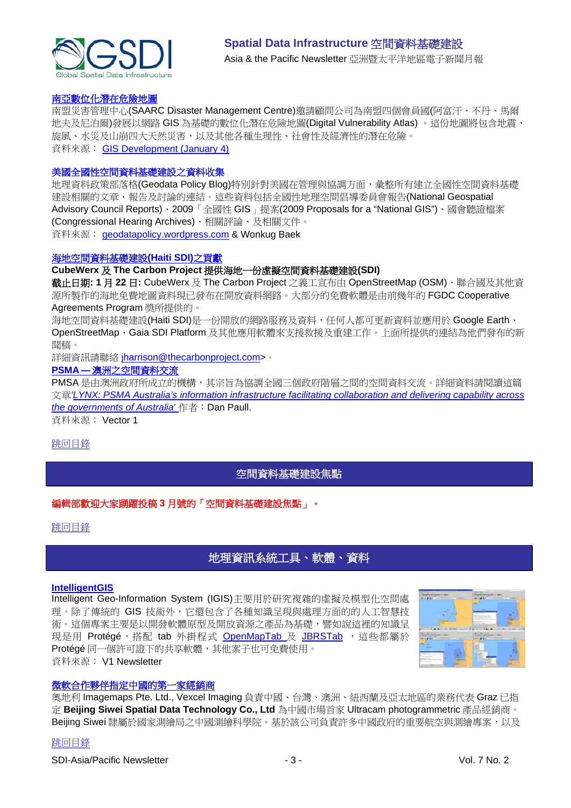

#### [南亞數位化潛在危險地圖](http://saarc-sdmc.nic.in/tenders.asp)

南盟災害管理中心(SAARC Disaster Management Centre)邀請顧問公司為南盟四個會員國(阿富汗、不丹、馬爾 地夫及尼泊爾)發展以網路 GIS 為基礎的數位化潛在危險地圖(Digital Vulnerability Atlas) 。這份地圖將包含地震、 旋風、水災及山崩四大天然災害,以及其他各種生理性、社會性及經濟性的潛在危險。 資料來源: [GIS Development \(January 4\)](http://www.gisdevelopment.net/ezine/weekly/jan0410.htm)

#### 美國全國性空間資料基礎建設之資料收集

地理資料政策部落格(Geodata Policy Blog)特別針對美國在管理與協調方面,彙整所有建立全國性空間資料基礎 建設相關的文章、報告及討論的連結。這些資料包括全國性地理空間倡導委員會報告(National Geospatial Advisory Council Reports)、2009「全國性 GIS」提案(2009 Proposals for a "National GIS")、國會聽證檔案 (Congressional Hearing Archives)、相關評論、及相關文件。

資料來源: [geodatapolicy.wordpress.com](http://geodatapolicy.wordpress.com/) & Wonkug Baek

## [海地空間資料基礎建設](http://carboncloud.blogspot.com/)**(Haiti SDI)**之貢獻

## **CubeWerx** 及 **The Carbon Project** 提供海地一份虛擬空間資料基礎建設**(SDI)**

截止日期**: 1** 月 **22** 日**:** CubeWerx 及 The Carbon Project 之義工宣布由 OpenStreetMap (OSM)、聯合國及其他資 源所製作的海地免費地圖資料現已發布在開放資料網路。大部分的免費軟體是由前幾年的 FGDC Cooperative Agreements Program 獎所提供的。

海地空間資料基礎建設(Haiti SDI)是一份開放的網路服務及資料,任何人都可更新資料並應用於 Google Earth、 OpenStreetMap、Gaia SDI Platform 及其他應用軟體來支援救援及重建工作。上面所提供的連結為他們發布的新 聞稿。

詳細資訊請聯絡 [jharrison@thecarbonproject.com>](mailto:jharrison@thecarbonproject.com)。

#### **PSMA —** [澳洲之空間資料交流](http://www.vector1media.com/vectorone/?p=4588)

PMSA 是由澳洲政府所成立的機構,其宗旨為協調全國三個政府階層之間的空間資料交流。詳細資料請閱讀這篇 文章*['LYNX: PSMA Australia's information infrastructure facilitating collaboration and delivering capability across](http://www.psma.com.au/aboutpsma/documents/DanPaull-GSDI11Paper.pdf)  [the governments of Australia](http://www.psma.com.au/aboutpsma/documents/DanPaull-GSDI11Paper.pdf)*['](http://www.psma.com.au/aboutpsma/documents/DanPaull-GSDI11Paper.pdf) 作者:Dan Paull.

資料來源: Vector 1

#### <span id="page-2-0"></span>[跳回目錄](#page-0-0)

## 空間資料基礎建設焦點

#### 編輯部歡迎大家踴躍投稿 **3** 月號的「空間資料基礎建設焦點」。

<span id="page-2-1"></span>[跳回目錄](#page-0-0)

## 地理資訊系統工具、軟體、資料

#### **[IntelligentGIS](http://protege.cim3.net/cgi-bin/wiki.pl?IntelligentGIS)**

Intelligent Geo-Information System (IGIS)主要用於研究複雜的虛擬及模型化空間處 理。除了傳統的 GIS 技術外,它還包含了各種知識呈現與處理方面的的人工智慧技 術。這個專案主要是以開發軟體原型及開放資源之產品為基礎,譬如說這裡的知識呈 現是用 Protégé,搭配 tab 外掛程式 [OpenMapTab](http://www.oogis.ru/en/projects/OpenMapTab/openmap_tab.htm) 及 [JBRSTab](http://oogis.ru/content/view/129/123/lang,en/) ,這些都屬於 Protégé 同一個許可證下的共享軟體,其他案子也可免費使用。 資料來源: V1 Newsletter



#### [微軟合作夥伴指定中國的第一家經銷商](http://www.wirelessdevnet.com/news/2010/jan/29/news3.html)

奧地利 Imagemaps Pte. Ltd., Vexcel Imaging 負責中國、台灣、澳洲、紐西蘭及亞太地區的業務代表 Graz 已指 定 **Beijing Siwei Spatial Data Technology Co., Ltd** 為中國市場首家 Ultracam photogrammetric 產品經銷商。 Beijing Siwei 隸屬於國家測繪局之中國測繪科學院。基於該公司負責許多中國政府的重要航空與測繪專案,以及

### [跳回目錄](#page-0-0)

SDI-Asia/Pacific Newsletter  $\overline{3}$  - 3 -  $\overline{3}$  -  $\overline{3}$  -  $\overline{1}$  Vol. 7 No. 2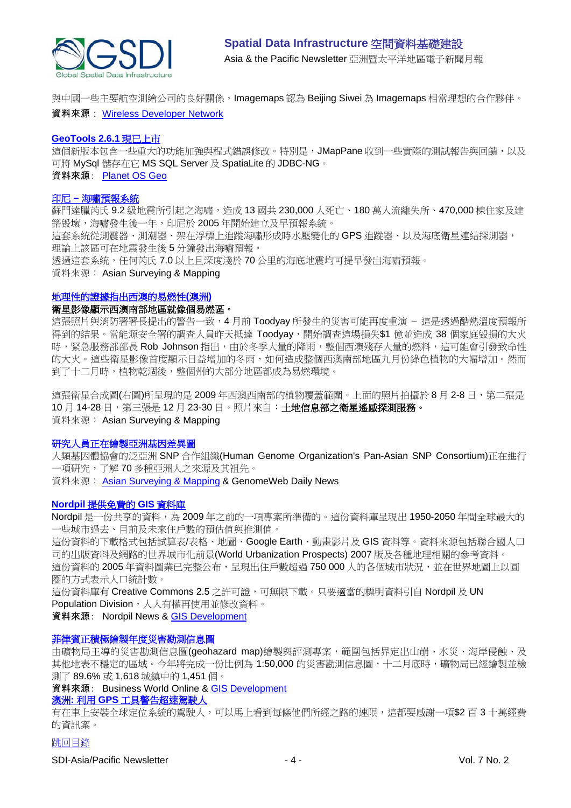

與中國一些主要航空測繪公司的良好關係,Imagemaps 認為 Beijing Siwei 為 Imagemaps 相當理想的合作夥伴。

#### 資料來源: [Wireless Developer Network](http://www.wirelessdevnet.com/news/2010/jan/29/news3.html)

#### **[GeoTools 2.6.1](http://geotoolsnews.blogspot.com/2010/01/geotools-261-released.html)** 現已上市

這個新版本包含一些重大的功能加強與程式錯誤修改。特別是,JMapPane 收到一些實際的測試報告與回饋,以及 可將 MySql 儲存在它 MS SQL Server 及 SpatiaLite 的 JDBC-NG。 資料來源: [Planet OS Geo](http://planet.osgeo.org/)

#### 印尼 **–** [海嘯預報系統](http://asmmag.com/features/indonesia-tsunami-early-warning-system-progressing-)

蘇門達臘芮氏 9.2 級地震所引起之海嘯,造成 13 國共 230,000 人死亡、180 萬人流離失所、470,000 棟住家及建 築毀壞,海嘯發生後一年,印尼於 2005 年開始建立及早預報系統。

這套系統從測震器、測潮器、架在浮標上追蹤海嘯形成時水壓變化的 GPS 追蹤器、以及海底衛星連結探測器, 理論上該區可在地震發生後 5 分鐘發出海嘯預報。

透過這套系統,任何芮氏 7.0 以上且深度淺於 70 公里的海底地震均可提早發出海嘯預報。

資料來源: Asian Surveying & Mapping

#### [地理性的證據指出西澳的易燃性](http://asmmag.com/news/satellite-imagery-shows-fire-prone-vulnerable-wa-)**(**澳洲**)**

#### 衛星影像顯示西澳南部地區就像個易燃區。

這張照片與消防署署長提出的警告一致,4 月前 Toodyay 所發生的災害可能再度重演 – 這是透過酷熱溫度預報所 得到的結果。當能源安全署的調查人員昨天抵達 Toodyay,開始調查這場損失\$1 億並造成 38 個家庭毀損的大火 時,緊急服務部部長 Rob Johnson 指出,由於冬季大量的降雨,整個西澳殘存大量的燃料,這可能會引發致命性 的大火。這些衛星影像首度顯示日益增加的冬雨,如何造成整個西澳南部地區九月份綠色植物的大幅增加。然而 到了十二月時,植物乾涸後,整個州的大部分地區都成為易燃環境。

這張衛星合成圖(右圖)所呈現的是 2009 年西澳西南部的植物覆蓋範圍。上面的照片拍攝於 8 月 2-8 日,第二張是 10月14-28日,第三張是12月23-30日。照片來自:土地信息部之衛星遙感探測服務。 資料來源: Asian Surveying & Mapping

#### [研究人員正在繪製亞洲基因差異圖](http://www.genomeweb.com/arrays/hugo-pan-asian-snp-consortium-maps-genetic-diversity-asia)

人類基因體協會的泛亞洲 SNP 合作組織(Human Genome Organization's Pan-Asian SNP Consortium)正在進行 一項研究,了解 70 多種亞洲人之來源及其祖先。

資料來源: [Asian Surveying & Mapping](http://asmmag.com/news/researchers-map-genetic-diversity-in-asia) & GenomeWeb Daily News

#### **Nordpil** [提供免費的](http://nordpil.com/go/news/resources-world-database-of-urban-areas-1950-2050/) **GIS** 資料庫

Nordpil 是一份共享的資料,為 2009年之前的一項專案所準備的。這份資料庫呈現出 1950-2050 年間全球最大的 一些城市過去、目前及未來住戶數的預估值與推測值。

這份資料的下載格式包括試算表/表格、地圖、Google Earth、動畫影片及 GIS 資料等。資料來源包括聯合國人口 司的出版資料及網路的世界城市化前景(World Urbanization Prospects) 2007 版及各種地理相關的參考資料。 這份資料的 2005 年資料圖業已完整公布,呈現出住戶數超過 750 000 人的各個城市狀況,並在世界地圖上以圓 圈的方式表示人口統計數。

這份資料庫有 Creative Commons 2.5 之許可證,可無限下載。只要適當的標明資料引自 Nordpil 及 UN Population Division, 人人有權再使用並修改資料。

資料來源: Nordpil News & [GIS Development](http://www.gisdevelopment.net/news/viewn.asp?id=GIS:N_vxikyrjhdg&Ezine=jan1110§ion=News)

#### [菲律賓正積極繪製年度災害勘測信息圖](http://www.bworldonline.com/main/content.php?id=3996)

由礦物局主導的災害勘測信息圖(geohazard map)繪製與評測專案,範圍包括界定出山崩、水災、海岸侵蝕、及 其他地表不穩定的區域。今年將完成一份比例為 1:50,000 的災害勘測信息圖,十二月底時,礦物局已經繪製並檢 測了 89.6% 或 1,618 城鎮中的 1,451 個。

### 資料來源: Business World Online & [GIS Development](http://www.gisdevelopment.net/news/viewn.asp?id=GIS:N_jiurcezwpt&Ezine=jan1110§ion=News)

#### 澳洲**:** 利用 **GPS** [工具警告超速駕駛人](http://www.theage.com.au/national/gps-tool-to-warn-speeding-drivers-20100113-m6zg.html)

有在車上安裝全球定位系統的駕駛人,可以馬上看到每條他們所經之路的速限,這都要感謝一項\$2百3十萬經費 的資訊案。

#### [跳回目錄](#page-0-0)

SDI-Asia/Pacific Newsletter  $\overline{a}$  - 4 -  $\overline{a}$  - Vol. 7 No. 2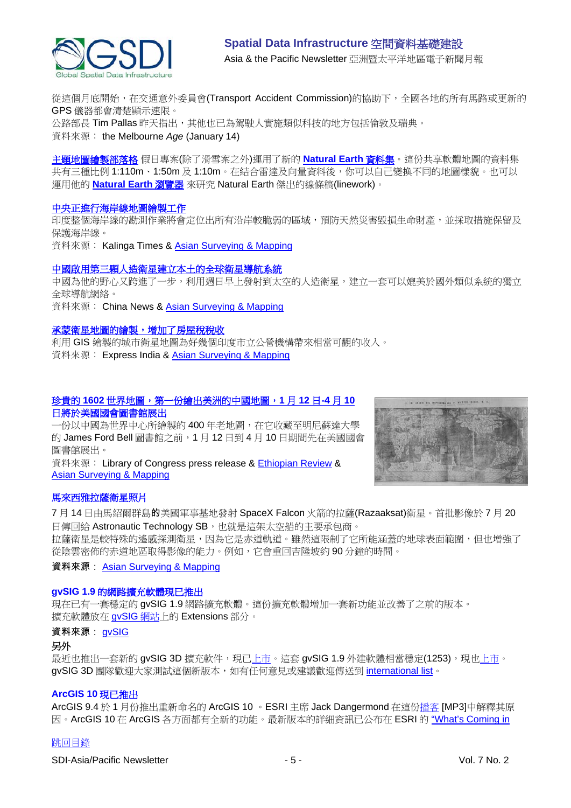

從這個月底開始,在交通意外委員會(Transport Accident Commission)的協助下,全國各地的所有馬路或更新的 GPS 儀器都會清楚顯示速限。 公路部長 Tim Pallas 昨天指出,其他也已為駕駛人實施類似科技的地方包括倫敦及瑞典。 資料來源: the Melbourne *Age* (January 14)

[主題地圖繪製部落格](http://blog.thematicmapping.org/) 假日專案(除了滑雪案之外)運用了新的 **Natural Earth** 資料集。這份共享軟體地圖的資料集 共有三種比例 1:110m、1:50m 及 1:10m。在結合雷達及向量資料後,你可以自己變換不同的地圖樣貌。也可以 運用他的 **[Natural Earth](http://earthatlas.info/naturalearth)** 瀏覽器 來研究 Natural Earth 傑出的線條稿(linework)。

#### [中央正進行海岸線地圖繪製工作](http://www.kalingatimes.com/odisha_news/news2010/20100116_Centre_set_to_undertake_coastline_mapping.htm)

印度整個海岸線的勘測作業將會定位出所有沿岸較脆弱的區域,預防天然災害毀損生命財產,並採取措施保留及 保護海岸線。

資料來源: Kalinga Times & [Asian Surveying & Mapping](http://asmmag.com/news/india-begins-outreach-regarding-the-survey-of-the-country-s-coastline)

#### [中國啟用第三顆人造衛星建立本土的全球衛星導航系統](http://news.xinhuanet.com/english/2010-01/17/content_12822615.htm)

中國為他的野心又跨進了一步,利用週日早上發射到太空的人造衛星,建立一套可以媲美於國外類似系統的獨立 全球導航網絡。

資料來源: China News & [Asian Surveying & Mapping](http://asmmag.com/news/china-launches-orbiter-for-navigation-system)

#### [承蒙衛星地圖的繪製,增加了房屋稅稅收](http://www.expressindia.com/latest-news/collection-of-house-tax-spirals-courtesy-satellite-mapping/567684/)

利用 GIS 繪製的城市衛星地圖為好幾個印度市立公營機構帶來相當可觀的收入。 資料來源: Express India & [Asian Surveying & Mapping](http://asmmag.com/news/tax-collections-rise-with-satellite-mapping)

### $B$  参貴的 1602 世界地圖, 第一份繪出美洲的中國地圖, 1月 12日-4 月 10

#### 日將於美國國會圖書館展出

一份以中國為世界中心所繪製的400年老地圖,在它收藏至明尼蘇達大學 的 James Ford Bell 圖書館之前,1 月 12 日到 4 月 10 日期間先在美國國會 圖書館展出。

資料來源: Library of Congress press release & [Ethiopian Review](http://www.ethiopianreview.com/news/11951) & [Asian Surveying & Mapping](http://asmmag.com/news/ancient-map-china-at-centre)



#### 馬來西雅拉薩衛星照片

7 月 14 日由馬紹爾群島的美國軍事基地發射 SpaceX Falcon 火箭的拉薩(Razaaksat)衛星。首批影像於 7 月 20 日傳回給 Astronautic Technology SB, 也就是這架太空船的主要承包商。

拉薩衛星是較特殊的遙感探測衛星,因為它是赤道軌道。雖然這限制了它所能涵蓋的地球表面範圍,但也增強了 從陰雲密佈的赤道地區取得影像的能力。例如,它會重回吉隆坡約 90 分鐘的時間。

資料來源: [Asian Surveying & Mapping](http://asmmag.com/features/razaksat-imagery)

#### **gvSIG 1.9** 的網路擴充軟體現已推出

現在已有一套穩定的 gvSIG 1.9 網路擴充軟體。這份擴充軟體增加一套新功能並改善了之前的版本。 擴充軟體放在 [gvSIG](http://www.gvsig.gva.es/eng/gvsig-desktop/desk-extensiones/network-extension/downloads/) 網站上的 Extensions 部分。

#### 資料來源: [gvSIG](http://www.gvsig.gva.es/eng/inicio-gvsig/)

#### 另外

最近也推出一套新的 gvSIG 3D 擴充軟件[,現已上市。](https://gvsig.org/web/projects/gvsig-desktop/devel)這套 gvSIG 1.9 外建軟體相當穩定(1253),現[也上市。](https://gvsig.org/web/projects/gvsig-desktop/devel/gvsig) gvSIG 3D 團隊歡迎大家測試這個新版本,如有任何意見或建議歡迎傳送到 [international list](http://www.gvsig.org/web/community/mailing-lists/directory-en/)。

#### **ArcGIS 10** 現已推出

ArcGIS 9.4 於 1 月份推出重新命名的 ArcGIS 10 。ESRI 主席 Jack Dangermond 在這[份播客](http://www.esri.com/news/podcasts/audio/speaker/dangermond_arcgis10.mp3) [MP3]中解釋其原 因。ArcGIS 10 在 ArcGIS 各方面都有全新的功能。最新版本的詳細資訊已公布在 ESRI 的 ["What's Coming in](http://www.esri.com/software/arcgis/whats-new/whats-coming.html) 

#### [跳回目錄](#page-0-0)

SDI-Asia/Pacific Newsletter  $\overline{5}$  - 5 -  $\overline{2}$  -  $\overline{5}$  -  $\overline{2}$  Vol. 7 No. 2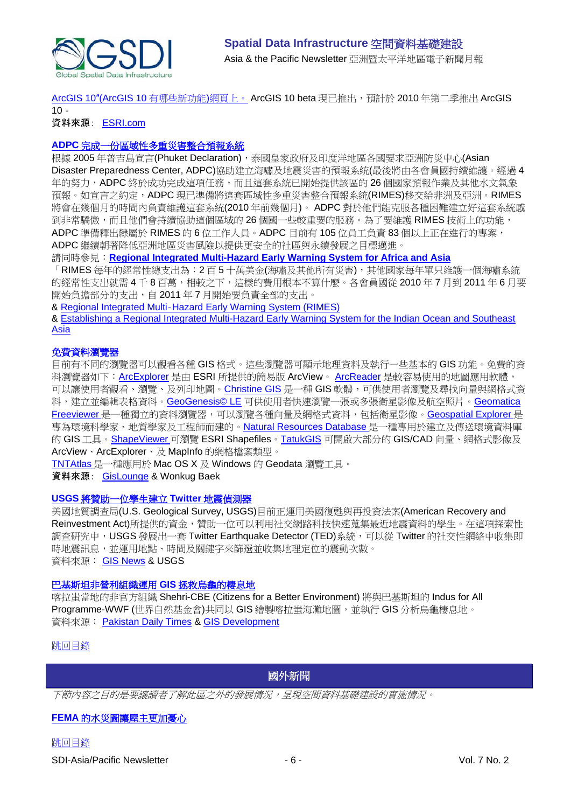

ArcGIS 10"(ArcGIS 10 有哪些新功能)網頁上。 ArcGIS 10 beta 現已推出, 預計於 2010 年第二季推出 ArcGIS 10。

資料來源: **[ESRI.com](http://www.esri.com/index.html)** 

## **ADPC** [完成一份區域性多重災害整合預報系統](http://www.adpc.net/v2007/announcement/2010/RIMES/RIMES.asp)

根據 2005年普吉島宣言(Phuket Declaration),泰國皇家政府及印度洋地區各國要求亞洲防災中心(Asian Disaster Preparedness Center, ADPC)協助建立海嘯及地震災害的預報系統(最後將由各會員國持續維護。經過 4 年的努力, ADPC 終於成功完成這項任務,而且這套系統已開始提供該區的 26 個國家預報作業及其他水文氣象 預報。如宣言之約定,ADPC 現已準備將這套區域性多重災害整合預報系統(RIMES)移交給非洲及亞洲。RIMES 將會在幾個月的時間內負責維護這套系統(2010 年前幾個月)。 ADPC 對於他們能克服各種困難建立好這套系統感 到非常驕傲,而且他們會持續協助這個區域的 26 個國一些較重要的服務。為了要維護 RIMES 技術上的功能, ADPC 準備釋出隸屬於 RIMES 的 6 位工作人員。ADPC 目前有 105 位員工負責 83 個以上正在進行的專案, ADPC 繼續朝著降低亞洲地區災害風險以提供更安全的社區與永續發展之目標邁進。

請同時參見:**[Regional Integrated Multi-Hazard Early Warning System for Africa and Asia](http://www.unescap.org/pmd/tsunami/documents/isdr-escap-mtg/11%20Mr%20Abdul%20Muhsin%20Ramiz%20-%20RIMES.ppt)**

「RIMES 每年的經常性總支出為:2 百 5 十萬美金(海嘯及其他所有災害),其他國家每年單只維護一個海嘯系統 的經常性支出就需 4 千 8 百萬,相較之下,這樣的費用根本不算什麼。各會員國從 2010 年 7 月到 2011 年 6 月要 開始負擔部分的支出,自 2011年7月開始要負責全部的支出。

& Regional Integrated Multi‐[Hazard Early Warning System \(RIMES\)](http://ioc-unesco.org/components/com_oe/oe.php?task=download&id=6433&version=1.0&lang=1&format=1)

& [Establishing a Regional Integrated Multi-Hazard Early Warning System for the Indian Ocean and Southeast](http://ioc-unesco.org/components/com_oe/oe.php?task=download&id=7501&version=1.0&lang=1&format=1)  [Asia](http://ioc-unesco.org/components/com_oe/oe.php?task=download&id=7501&version=1.0&lang=1&format=1)

#### 免費資料瀏覽器

目前有不同的瀏覽器可以觀看各種 GIS 格式。這些瀏覽器可顯示地理資料及執行一些基本的 GIS 功能。免費的資 料瀏覽器如下:[ArcExplorer](http://www.esri.com/software/explorer/index.html) 是由 ESRI 所提供的簡易版 ArcView。 [ArcReader](http://www.esri.com/software/arcgis/arcreader/index.html) 是較容易使用的地圖應用軟體, 可以讓使用者觀看、瀏覽、及列印地圖。[Christine GIS](http://www.christine-gis.com/en/index.htm) 是一種 GIS 軟體,可供使用者瀏覽及尋找向量與網格式資 料,建立並編輯表格資料。[GeoGenesis© LE](http://geogenesis.net/geogenesisle.htm) 可供使用者快速瀏覽一張或多張衛星影像及航空照片。[Geomatica](http://www.pcigeomatics.com/index.php?option=com_content&view=article&id=91&Itemid=12)  [Freeviewer](http://www.pcigeomatics.com/index.php?option=com_content&view=article&id=91&Itemid=12) 是一種獨立的資料瀏覽器,可以瀏覽各種向量及網格式資料,包括衛星影像。[Geospatial Explorer](http://www.cyze.com/download/) 是 專為環境科學家、地質學家及工程師而建的。[Natural Resources Database](http://www.nrdb.co.uk/) 是一種專用於建立及傳送環境資料庫 的 GIS 工具。[ShapeViewer](http://www.qarah.com/shapeviewer/) 可瀏覽 ESRI Shapefiles。[TatukGIS](http://www.tatukgis.com/products/viewer/viewer.aspx) 可開啟大部分的 GIS/CAD 向量、網格式影像及 ArcView、ArcExplorer、及 MapInfo 的網格檔案類型。

[TNTAtlas](http://www.microimages.com/products/tntatlas/index.htm) 是一種應用於 Mac OS X 及 Windows 的 Geodata 瀏覽工具。

資料來源: [GisLounge](http://gislounge.com/free-data-viewers/) & Wonkug Baek

#### **USGS** [將贊助一位學生建立](http://recovery.doi.gov/press/us-geological-survey-twitter-earthquake-detector-ted/) **Twitter** 地震偵測器

美國地質調查局(U.S. Geological Survey, USGS)目前正運用美國復甦與再投資法案(American Recovery and Reinvestment Act)所提供的資金,贊助一位可以利用社交網路科技快速蒐集最近地震資料的學生。在這項探索性 調查研究中,USGS 發展出一套 Twitter Earthquake Detector (TED)系統,可以從 Twitter 的社交性網絡中收集即 時地震訊息,並運用地點、時間及關鍵字來篩選並收集地理定位的震動次數。 資料來源: [GIS News](http://www.gisdevelopment.net/news/viewn.asp?id=GIS:N_qysrdoeixj&Ezine=jan1810§ion%20=News) & USGS

#### [巴基斯坦非營利組織運用](http://www.dailytimes.com.pk/default.asp?page=2010\01\11\story_11-1-2010_pg12_3) **GIS** 拯救烏龜的棲息地

喀拉蚩當地的非官方組織 Shehri-CBE (Citizens for a Better Environment) 將與巴基斯坦的 Indus for All Programme-WWF (世界自然基金會)共同以 GIS 繪製喀拉蚩海灘地圖,並執行 GIS 分析烏龜棲息地。 資料來源: [Pakistan Daily Times](http://www.dailytimes.com.pk/) & [GIS Development](http://www.gisdevelopment.net/news/viewn.asp?id=GIS:N_hgzmrbafki&Ezine=jan1810§ion=News)

#### <span id="page-5-0"></span>[跳回目錄](#page-0-0)

國外新聞

下節內容之目的是要讓讀者了解此區之外的發展情況,呈現空間資料基礎建設的實施情況。

**FEMA** [的水災圖讓屋主更加憂心](http://www.latimes.com/news/local/la-me-flood-maps4-2010jan04,0,6016681.story)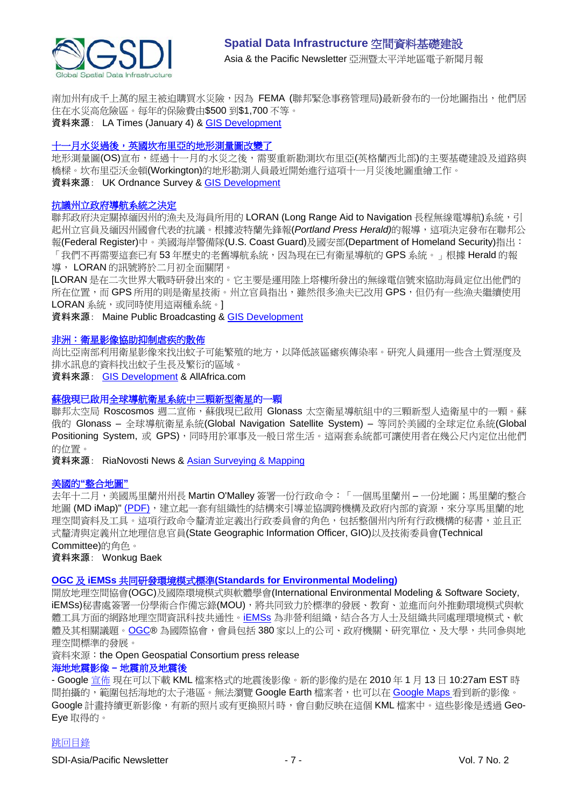

南加州有成千上萬的屋主被迫購買水災險,因為 FEMA (聯邦緊急事務管理局)最新發布的一份地圖指出,他們居 住在水災高危險區。每年的保險費由\$500 到\$1,700 不等。 資料來源: LA Times (January 4) & [GIS Development](http://www.gisdevelopment.net/news/viewn.asp?id=GIS:N_ztxieqmhsl&Ezine=jan1110§ion=News)

#### [十一月水災過後,英國坎布里亞的地形測量圖改變了](http://www.ordnancesurvey.co.uk/oswebsite/media/news/2010/jan/cumbria.html)

地形測量圖(OS)宣布,經過十一月的水災之後,需要重新勘測坎布里亞(英格蘭西北部)的主要基礎建設及道路與 橋樑。坎布里亞沃金頓(Workington)的地形勘測人員最近開始進行這項十一月災後地圖重繪工作。 資料來源: UK Ordnance Survey & [GIS Development](http://www.gisdevelopment.net/news/viewn.asp?id=GIS:N_nocxugsfdi&Ezine=jan1110§ion=News)

#### [抗議州立政府導航系統之決定](http://www.mpbn.net/Home/tabid/36/ctl/ViewItem/mid/3483/ItemId/10491/Default.aspx)

聯邦政府決定關掉緬因州的漁夫及海員所用的 LORAN (Long Range Aid to Navigation 長程無線電導航)系統,引 起州立官員及緬因州國會代表的抗議。根據波特蘭先鋒報(*Portland Press Herald)*的報導,這項決定發布在聯邦公 報(Federal Register)中。美國海岸警備隊(U.S. Coast Guard)及國安部(Department of Homeland Security)指出: 「我們不再需要這套已有53年歷史的老舊導航系統,因為現在已有衛星導航的 GPS 系統。」根據 Herald 的報 導, LORAN 的訊號將於二月初全面關閉。

[LORAN 是在二次世界大戰時研發出來的。它主要是運用陸上塔樓所發出的無線電信號來協助海員定位出他們的 所在位置,而 GPS 所用的則是衛星技術。州立官員指出,雖然很多漁夫已改用 GPS,但仍有一些漁夫繼續使用 LORAN 系統,或同時使用這兩種系統。

資料來源: Maine Public Broadcasting & [GIS Development](http://www.gisdevelopment.net/news/viewn.asp?id=GIS:N_jfnrpoqchy&Ezine=jan1110§ion=News)

#### [非洲:衛星影像協助抑制虐疾的散佈](http://allafrica.com/stories/200911300784.html)

尚比亞南部利用衛星影像來找出蚊子可能繁殖的地方,以降低該區瘧疾傳染率。研究人員運用一些含土質溼度及 排水訊息的資料找出蚊子生長及繁衍的區域。

資料來源: [GIS Development](http://www.gisdevelopment.net/news/viewn.asp?id=GIS:N_xoejmflart&Ezine=dec2809§ion=News) & AllAfrica.com

#### [蘇俄現已啟用全球導航衛星系統中三顆新型衛星的](http://en.rian.ru/russia/20100112/157517769.html)一顆

聯邦太空局 Roscosmos 週二宣佈,蘇俄現已啟用 Glonass 太空衛星導航組中的三顆新型人造衛星中的一顆。蘇 俄的 Glonass – 全球導航衛星系統(Global Navigation Satellite System) – 等同於美國的全球定位系統(Global Positionina Svstem, 或 GPS),同時用於軍事及一般日常生活。這兩套系統都可讓使用者在幾公尺內定位出他們 的位置。

資料來源: RiaNovosti News & [Asian Surveying & Mapping](http://asmmag.com/news/russia-activates-1-of-3-new-glonass-navigation-satellites-)

#### 美國的**"**[整合地圖](http://mdimap.com/imap/)**"**

去年十二月, 美國馬里蘭州州長 Martin O'Malley 簽署一份行政命令:「一個馬里蘭州 – 一份地圖;馬里蘭的整合 地圖 (MD iMap)" [\(PDF\)](http://doit.maryland.gov/policies/Documents/policyplanning/FY2011StateITMP.pdf),建立起一套有組織性的結構來引導並協調跨機構及政府內部的資源,來分享馬里蘭的地 理空間資料及工具。這項行政命令釐清並定義出行政委員會的角色,包括整個州內所有行政機構的秘書,並且正 式釐清與定義州立地理信息官員(State Geographic Information Officer, GIO)以及技術委員會(Technical Committee)的角色。

資料來源: Wonkug Baek

#### **OGC** 及 **iEMSs** 共同研發環境模式標準**[\(Standards for Environmental Modeling\)](http://www.opengeospatial.org/pressroom/pressreleases/1124)**

開放地理空間協會(OGC)及國際環境模式與軟體學會(International Environmental Modeling & Software Society, iEMSs)秘書處簽署一份學術合作備忘錄(MOU),將共同致力於標準的發展、教育、並進而向外推動環境模式與軟 體工具方面的網路地理空間資訊科技共通性。[iEMSs](http://www.iemss.org/) 為非營利組織,結合各方人士及組織共同處理環境模式、軟 體及其相關議題。[OGC®](http://www.opengeospatial.org/) 為國際協會,會員包括 380 家以上的公司、政府機關、研究單位、及大學,共同參與地 理空間標準的發展。

資料來源:the Open Geospatial Consortium press release

#### 海地地震影像 **–** 地震前及地震後

- Google [宣佈](http://google-latlong.blogspot.com/2010/01/haiti-imagery-layer-now-available.html) 現在可以下載 KML 檔案格式的地震後影像。新的影像約是在 2010 年 1 月 13 日 10:27am EST 時 間拍攝的,範圍包括海地的太子港區。無法瀏覽 Google Earth 檔案者,也可以在 [Google Maps](http://maps.google.com/maps?f=q&source=s_q&hl=en&geocode=&q=http:%2F%2Fmw1.google.com%2Fmw-earth-vectordb%2Fhaiti%2FHaiti-Earthquake-nl.kml&sll=40.111689,-95.712891&sspn=41.414553,93.076172&ie=UTF8&z=11) 看到新的影像。 Google 計畫持續更新影像,有新的照片或有更換照片時,會自動反映在這個 KML 檔案中。這些影像是透過 Geo-Eye 取得的。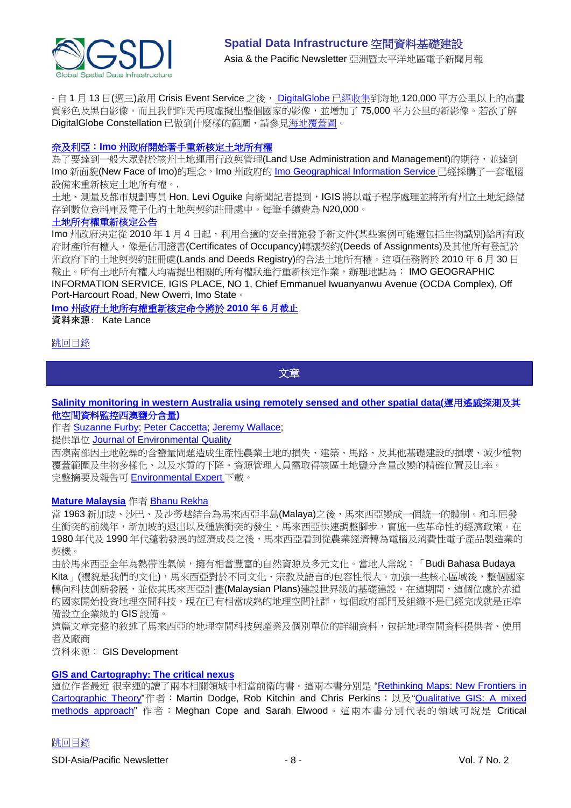

- 自 1 月 13 日(週三)啟用 [Crisis Event Service](http://dgl.us.neolane.net/nl/jsp/m.jsp?c=78d16e0278e5e902f5) 之後, DigitalGlobe 已經收集到海地 120,000 平方公里以上的高畫 質彩色及黑白影像。而且我們昨天再度虛擬出整個國家的影像,並增加了 75,000 平方公里的新影像。若欲了解 DigitalGlobe Constellation 已做到什麼樣的範圍,請參[見海地覆蓋圖。](http://dgl.us.neolane.net/r/?id=h151d8d,91f885,921fe9)

#### 奈及利亞:**Imo** [州政府開始著手重新核定土地所有權](http://allafrica.com/stories/201001190204.html)

為了要達到一般大眾對於該州土地運用行政與管理(Land Use Administration and Management)的期待,並達到 Imo 新面貌(New Face of Imo)的理念, Imo 州政府的 Imo Geographical Information Service 已經採購了一套電腦 設備來重新核定土地所有權。.

土地、測量及都市規劃專員 Hon. Levi Oguike 向新聞記者提到,IGIS 將以電子程序處理並將所有州立土地紀錄儲 存到數位資料庫及電子化的土地與契約註冊處中。每筆手續費為 N20,000。

#### [土地所有權重新核定公告](http://www.imostate.gov.ng/news/fullStory/?_n_Id=329&PHPSESSID=272091e1b11953d5c9907284e7628913)

Imo 州政府決定從 2010年1月4日起,利用合適的安全措施發予新文件(某些案例可能還包括生物識別)給所有政 府財產所有權人,像是佔用證書(Certificates of Occupancy)轉讓契約(Deeds of Assignments)及其他所有登記於 州政府下的土地與契約註冊處(Lands and Deeds Registry)的合法土地所有權。這項任務將於 2010 年 6 月 30 日 截止。所有土地所有權人均需提出相關的所有權狀進行重新核定作業,辦理地點為: IMO GEOGRAPHIC INFORMATION SERVICE, IGIS PLACE, NO 1, Chief Emmanuel Iwuanyanwu Avenue (OCDA Complex), Off Port-Harcourt Road, New Owerri, Imo State。

**Imo** [州政府土地所有權重新核定命令將於](http://abohmbaise.imostate.gov.ng/news/fullStory/?_n_Id=341&PHPSESSID=d64d74948c85a317afb1078a70d6cd71) **2010** 年 **6** 月截止

資料來源: Kate Lance

#### <span id="page-7-0"></span>[跳回目錄](#page-0-0)

文章

### **[Salinity monitoring in western Australia using remotely sensed and other spatial data\(](http://www.environmental-expert.com/resultEachArticle.aspx?cid=4301&codi=79072&lr=1)**運用遙感探測及其 他空間資料監控西澳鹽分含量**)**

作者 [Suzanne Furby;](http://www.environmental-expert.com/author_file.aspx?idauthor=282568&fname=Suzanne&lname=Furby) [Peter Caccetta;](http://www.environmental-expert.com/article-index.aspx?word=Peter%20Caccetta) [Jeremy Wallace;](http://www.environmental-expert.com/article-index.aspx?word=Jeremy%20Wallace)

提供單位 [Journal of Environmental Quality](http://www.environmental-expert.com/resultEachMagazine.aspx?cid=4301&codi=4627)

西澳南部因土地乾燥的含鹽量問題造成生產性農業土地的損失、建築、馬路、及其他基礎建設的損壞、減少植物 覆蓋範圍及生物多樣化、以及水質的下降。資源管理人員需取得該區土地鹽分含量改變的精確位置及比率。 完整摘要及報告可 [Environmental Expert](http://www.environmental-expert.com/resultEachArticle.aspx?cid=4301&codi=79072&lr=1) 下載。

#### **[Mature Malaysia](http://www.gisdevelopment.net/magazine/global/2009/December/36.htm)** 作者 [Bhanu Rekha](mailto:bhanu.rekha@GISdevelopment.net)

當 1963 新加坡、沙巴、及沙勞越結合為馬來西亞半島(Malaya)之後,馬來西亞變成一個統一的體制。和印尼發 生衝突的前幾年,新加坡的退出以及種族衝突的發生,馬來西亞快速調整腳步,實施一些革命性的經濟政策。在 1980 年代及 1990 年代蓬勃發展的經濟成長之後,馬來西亞看到從農業經濟轉為電腦及消費性電子產品製造業的 契機。

由於馬來西亞全年為熱帶性氣候,擁有相當豐富的自然資源及多元文化。當地人常說:「Budi Bahasa Budaya Kita」(禮貌是我們的文化),馬來西亞對於不同文化、宗教及語言的包容性很大。加強一些核心區域後,整個國家 轉向科技創新發展,並依其馬來西亞計畫(Malaysian Plans)建設世界級的基礎建設。在這期間,這個位處於赤道 的國家開始投資地理空間科技,現在已有相當成熟的地理空間社群,每個政府部門及組織不是已經完成就是正準 備設立企業級的 GIS 設備。

這篇文章完整的敘述了馬來西亞的地理空間科技與產業及個別單位的詳細資料,包括地理空間資料提供者、使用 者及廠商

資料來源: GIS Development

#### **GIS and [Cartography: The critical nexus](http://danieljlewis.org/2010/01/08/gis-and-cartography-the-critical-nexus/)**

這位作者最近很幸運的讀了兩本相關領域中相當前衛的書。這兩本書分別是"Rethinking Maps: New Frontiers in [Cartographic Theory"](http://www.routledge.com/books/Rethinking-Maps-isbn9780415461528)作者: Martin Dodge, Rob Kitchin and Chris Perkins; 以及"Qualitative GIS: A mixed [methods approach"](http://www.uk.sagepub.com/booksProdDesc.nav?prodId=Book231637) 作者:Meghan Cope and Sarah Elwood。這兩本書分別代表的領域可說是 Critical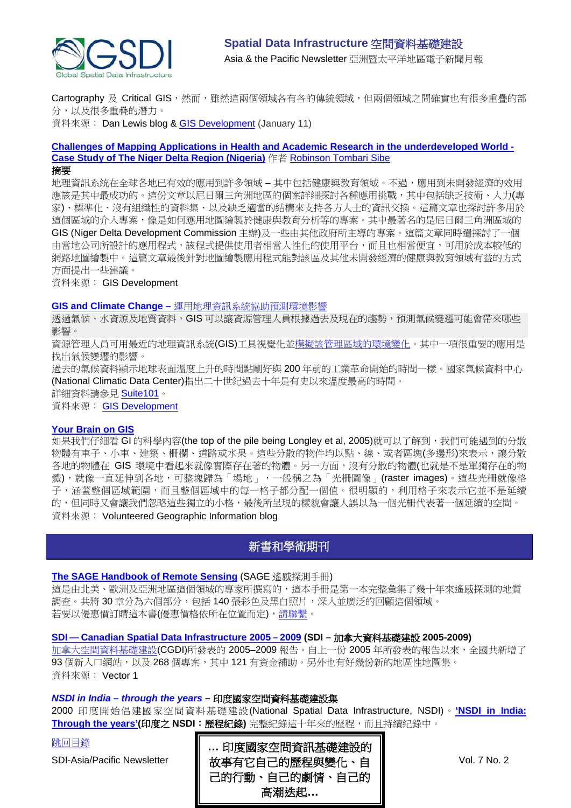

Cartography 及 Critical GIS,然而,雖然這兩個領域各有各的傳統領域,但兩個領域之間確實也有很多重疊的部 分,以及很多重疊的潛力。

資料來源: Dan Lewis blog & [GIS Development](http://www.gisdevelopment.net/ezine/weekly/jan1110.htm) (January 11)

#### **[Challenges of Mapping Applications in Health and Academic Research in the underdeveloped World -](http://www.gisdevelopment.net/application/health/overview/Challenges-of-Mapping-Applications-in-Health-and-Academic-Research-in-the-underdeveloped-World.htm) [Case Study of The Niger Delta Region \(Nigeria\)](http://www.gisdevelopment.net/application/health/overview/Challenges-of-Mapping-Applications-in-Health-and-Academic-Research-in-the-underdeveloped-World.htm)** 作者 [Robinson Tombari Sibe](mailto:sibe99@yahoo.com) 摘要

地理資訊系統在全球各地已有效的應用到許多領域 - 其中包括健康與教育領域。不過,應用到未開發經濟的效用 應該是其中最成功的。這份文章以尼日爾三角洲地區的個案詳細探討各種應用挑戰,其中包括缺乏技術、人力(專 家)、標準化、沒有組織性的資料集、以及缺乏適當的結構來支持各方人士的資訊交換。這篇文章也探討許多用於 這個區域的介入專案,像是如何應用地圖繪製於健康與教育分析等的專案。其中最著名的是尼日爾三角洲區域的 GIS (Niger Delta Development Commission 主辦)及一些由其他政府所主導的專案。這篇文章同時還探討了一個 由當地公司所設計的應用程式,該程式提供使用者相當人性化的使用平台,而且也相當便宜,可用於成本較低的 網路地圖繪製中。這篇文章最後針對地圖繪製應用程式能對該區及其他未開發經濟的健康與教育領域有益的方式 方面提出一些建議。

資料來源: GIS Development

#### **GIS and Climate Change –** [運用地理資訊系統協助預測環境影響](http://ecosystem-preservation.suite101.com/article.cfm/gis_and_climate_change)

透過氣候、水資源及地質資料,GIS 可以讓資源管理人員根據過去及現在的趨勢,預測氣候變遷可能會帶來哪些 影響。

資源管理人員可用最近的地理資訊系統(GIS)工具視覺化並模[擬該管理區域的環境變化。](http://environmentalism.suite101.com/article.cfm/use_of_gis_technology_in_resource_planning)其中一項很重要的應用是 找出氣候變遷的影響。

過去的氣候資料顯示地球表面溫度上升的時間點剛好與 200 年前的工業革命開始的時間一樣。國家氣候資料中心 (National Climatic Data Center)指出二十世紀過去十年是有史以來溫度最高的時間。

詳細資料請參見 Suite101。

資料來源: [GIS Development](http://www.gisdevelopment.net/ezine/weekly/dec2809.htm)

#### **[Your Brain on GIS](http://danieljlewis.org/2010/01/21/your-brain-on-gis/)**

如果我們仔細看 GI 的科學內容(the top of the pile being Longley et al, 2005)就可以了解到,我們可能遇到的分散 物體有車子、小車、建築、柵欄、道路或水果。這些分散的物件均以點、線、或者區塊(多邊形)來表示,讓分散 各地的物體在 GIS 環境中看起來就像實際存在著的物體。另一方面,沒有分散的物體(也就是不是單獨存在的物 體), 就像一直延伸到各地,可整塊歸為「場地」, 一般稱之為「光柵圖像」(raster images)。這些光柵就像格 子,涵蓋整個區域範圍區域中的每一格子都分配一個值。很明顯的,利用格子來表示它並不是延續 的,但同時又會讓我們忽略這些獨立的小格,最後所呈現的樣貌會讓人誤以為一個光柵代表著一個延續的空間。 資料來源: Volunteered Geographic Information blog

## 新書和學術期刊

## <span id="page-8-0"></span>**[The SAGE Handbook of Remote Sensing](http://www.uk.sagepub.com/booksProdSampleMaterials.nav?prodId=Book230960)** (SAGE 遙感探測手冊)

這是由北美、歐洲及亞洲地區這個領域的專家所撰寫的,這本手冊是第一本完整彙集了幾十年來遙感探測的地質 調查。共將 30 章分為六個部分,包括 140 張彩色及黑白照片,深入並廣泛的回顧這個領域。 若要以優惠價訂購這本書(優惠價格依所在位置而定)[,請聯繫。](mailto:michael.ainsley@sagepub.co.uk)

#### **SDI — [Canadian Spatial Data Infrastructure 2005](http://www.vector1media.com/vectorone/?p=4585) – 2009 (SDI –** 加拿大資料基礎建設 **2005-2009)**

[加拿大空間資料基礎建設](http://unstats.un.org/unsd/geoinfo/9th-UNRCC-A/CRP/CRP%205%20Canada.pdf)(CGDI)所發表的 2005-2009 報告。自上一份 2005 年所發表的報告以來,全國共新增了 93個新入口網站,以及 268 個專案,其中 121 有資金補助。另外也有好幾份新的地區性地圖集。 資料來源: Vector 1

#### *NSDI in India – through the years* **–** 印度國家空間資料基礎建設集

2000 印度開始倡建國家空間資料基礎建設(National Spatial Data Infrastructure, NSDI)。**['NSDI in India:](http://www.mycoordinates.org/nsdi%20in%20india%20book)  [Through the years'\(](http://www.mycoordinates.org/nsdi%20in%20india%20book)**印度之 **NSDI**:歷程紀錄**)** 完整紀錄這十年來的歷程,而且持續紀錄中。

[跳回目錄](#page-0-0)

SDI-Asia/Pacific Newsletter ┃ 故事有它自己的歷程與變化、自 ┃ Vol. 7 No. 2 **…** 印度國家空間資訊基礎建設的 己的行動、自己的劇情、自己的 高潮迭起**…**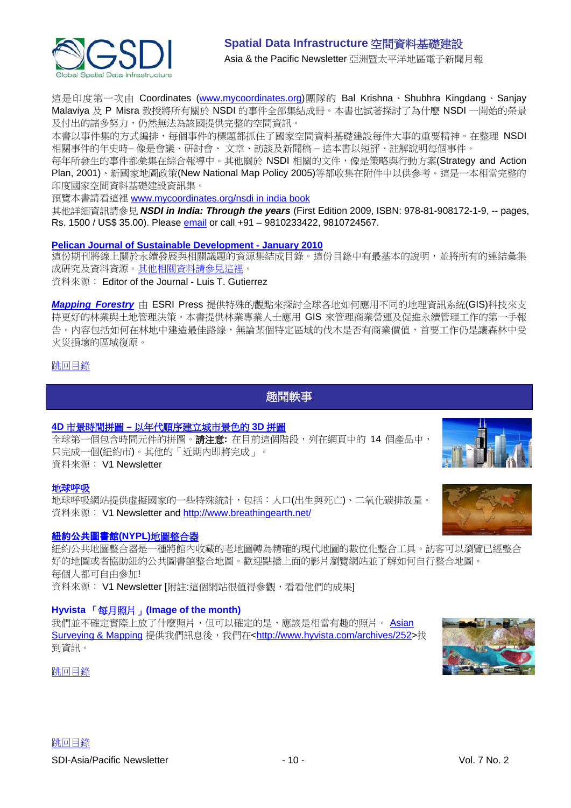

這是印度第一次由 Coordinates [\(www.mycoordinates.org\)](http://www.mycoordinates.org/)團隊的 Bal Krishna、Shubhra Kingdang、Sanjay Malaviya 及 P Misra 教授將所有關於 NSDI 的事件全部集結成冊。本書也試著探討了為什麼 NSDI 一開始的榮景 及付出的諸多努力,仍然無法為該國提供完整的空間資訊。

本書以事件集的方式編排,每個事件的標題都抓住了國家空間資料基礎建設每件大事的重要精神。在整理 NSDI 相關事件的年史時– 像是會議、研討會、 文章、訪談及新聞稿 – 這本書以短評、註解說明每個事件。

每年所發生的事件都彙集在綜合報導中。其他關於 NSDI 相關的文件,像是策略與行動方案(Strategy and Action Plan, 2001)、新國家地圖政策(New National Map Policy 2005)等都收集在附件中以供參考。這是一本相當完整的 印度國家空間資料基礎建設資訊集。

預覽本書請看這裡 [www.mycoordinates.org/nsdi in india book](http://www.mycoordinates.org/nsdi%20in%20india%20book) 

其他詳細資訊請參見 *NSDI in India: Through the years* (First Edition 2009, ISBN: 978-81-908172-1-9, -- pages, Rs. 1500 / US\$ 35.00). Please [email](mailto:talktous@mycoordinates.org) or call +91 – 9810233422, 9810724567.

**[Pelican Journal of Sustainable Development -](http://www.pelicanweb.org/solisustv06n01page1.html) January 2010**

這份期刊將線上關於永續發展與相關議題的資源集結成目錄。這份目錄中有最基本的說明,並將所有的連結彙集 成研究及資料資源[。其他相關資料請參見這裡。](http://www.pelicanweb.org/solisustv06n01supplement.html)

資料來源: Editor of the Journal - Luis T. Gutierrez

*[Mapping Forestry](http://esripress.esri.com/display/index.cfm?fuseaction=display&websiteID=168)* 由 ESRI Press 提供特殊的觀點來探討全球各地如何應用不同的地理資訊系統(GIS)科技來支 持更好的林業與土地管理決策。本書提供林業專業人士應用 GIS 來管理商業營運及促進永續管理工作的第一手報 告。內容包括如何在林地中建造最佳路線,無論某個特定區域的伐木是否有商業價值,首要工作仍是讓森林中受 火災損壞的區域復原。

## <span id="page-9-0"></span>[跳回目錄](#page-0-0)

## 趣聞軼事

## **4D** 市景時間拼圖 **–** [以年代順序建立城市景色的](http://www.4dcityscape.com/) **3D** 拼圖

全球第一個包含時間元件的拼圖。請注意**:** 在目前這個階段,列在網頁中的 14 個產品中, 只完成一個(紐約市)。其他的「近期內即將完成」。 資料來源: V1 Newsletter

#### 地[球呼吸](http://www.breathingearth.net/)

地球呼吸網站提供虛擬國家的一些特殊統計,包括:人口(出生與死亡)、二氧化碳排放量。 資料來源: V1 Newsletter and<http://www.breathingearth.net/>

#### [紐約公共圖書館](http://maps.nypl.org/warper/)**(NYPL)**地圖整合器

紐約公共地圖整合器是一種將館內收藏的老地圖轉為精確的現代地圖的數位化整合工具。訪客可以瀏覽已經整合 好的地圖或者協助紐約公共圖書館整合地圖。歡迎點播上面的影片瀏覽網站並了解如何自行整合地圖。 每個人都可自由參加!

資料來源: V1 Newsletter [附註:這個網站很值得參觀,看看他們的成果]

## **Hyvista** 「每月照片」**(Image of the month)**

我們並不確定實際上放了什麼照片,但可以確定的是,應該是相當有趣的照片。 Asian [Surveying & Mapping](http://asmmag.com/news/hyvista-image-east-kalimantan-indonesia-and-south-africa) 提供我們訊息後,我們在[<http://www.hyvista.com/archives/252>](http://www.hyvista.com/archives/252)找 到資訊。



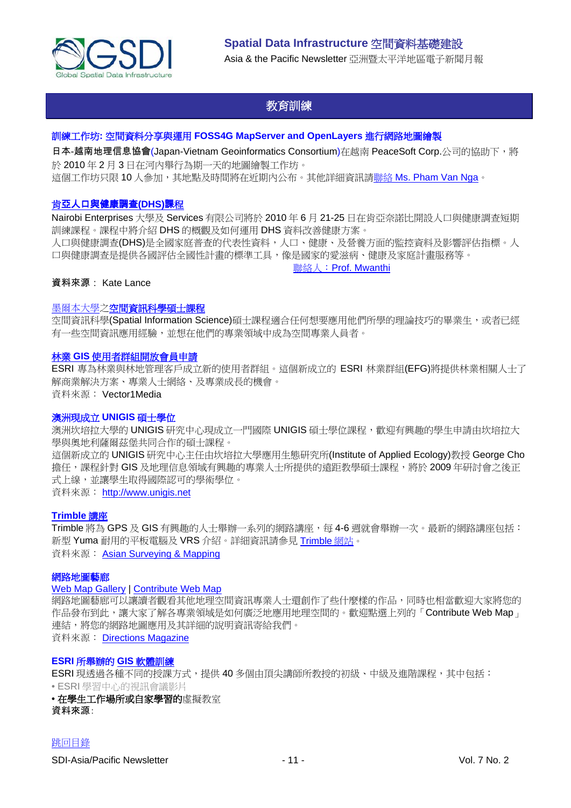

## 教育訓練

## <span id="page-10-0"></span>訓練工作坊**:** 空間資料分享與運用 **FOSS4G MapServer and OpenLayers** 進行網路地圖繪製

日本-越南地理信息協會(Japan-Vietnam Geoinformatics Consortium)在越南 PeaceSoft Corp.公司的協助下,將 於 2010 年 2 月 3 日在河內舉行為期一天的地圖繪製工作坊。 這個工作坊只限 10 人參加,其地點及時間將在沂期內公布。其他詳細資訊請聯絡 [Ms. Pham Van Nga](mailto:ngapv@peacesoft.net)。

## 肯[亞人口與健康調查](http://www.measuredhs.com/wn1/reports/Demographic%20health%20surveys_final%20flyer.pdf)**(DHS)**課程

Nairobi Enterprises 大學及 Services 有限公司將於 2010 年 6 月 21-25 日在肯亞奈諾比開設人口與健康調查短期 訓練課程。課程中將介紹 DHS 的概觀及如何運用 DHS 資料改善健康方案。 人口與健康調查(DHS)是全國家庭普查的代表性資料,人口、健康、及營養方面的監控資料及影響評估指標。人 口與健康調查是提供各國評估全國性計畫的標準工具,像是國家的愛滋病、健康及家庭計畫服務等。

聯絡人:[Prof. Mwanthi](mailto:mmwanthi@uonbi.ac.ke)

#### 資料來源: Kate Lance

#### [墨爾本大學之](http://www.unimelb.edu.au/)[空間資訊科學碩士課程](http://www.eng.unimelb.edu.au/Postgrad/MEng/grad_msis.html)

空間資訊科學(Spatial Information Science)碩士課程適合任何想要應用他們所學的理論技巧的畢業生,或者已經 有一些空間資訊應用經驗,並想在他們的專業領域中成為空間專業人員者。

#### 林業 **GIS** [使用者群組開放會員申請](http://www.vector1media.com/news/top-stories/53-corporate-news/8187-forestry-gis-user-group-opens-for-membership)

ESRI 專為林業與林地管理客戶成立新的使用者群組。這個新成立的 ESRI 林業群組(EFG)將提供林業相關人士了 解商業解決方案、專業人士網絡、及專業成長的機會。 資料來源: Vector1Media

#### 澳洲現成立 **UNIGIS** 碩士學位

澳洲坎培拉大學的 UNIGIS 研究中心現成立一門國際 UNIGIS 碩士學位課程,歡迎有興趣的學生申請由坎培拉大 學與奧地利薩爾茲堡共同合作的碩士課程。

這個新成立的 UNIGIS 研究中心主任由坎培拉大學應用生態研究所(Institute of Applied Ecology)教授 George Cho 擔任,課程針對 GIS 及地理信息領域有興趣的專業人士所提供的遠距教學碩士課程,將於 2009 年研討會之後正 式上線,並讓學生取得國際認可的學術學位。

資料來源: [http://www.unigis.net](http://www.unigis.net/)

#### **[Trimble](http://www.trimble.com/mgis/webinars.shtml)** 講座

Trimble 將為 GPS 及 GIS 有興趣的人士舉辦一系列的網路講座,每 4-6 週就會舉辦一次。最新的網路講座包括: 新型 Yuma 耐用的平板電腦及 VRS 介紹。詳細資訊請參見 [Trimble](http://www.trimble.com/mgis/webinars.shtml) 網站。 資料來源: [Asian Surveying & Mapping](http://www.asmmag.com/news)

#### 網路地圖藝廊

#### [Web Map Gallery](http://www.directionsmag.com/webmapgallery/) | [Contribute Web Map](http://www.directionsmag.com/webmapgallery/?duty=Contribute)

網路地圖藝廊可以讓讀者觀看其他地理空間資訊專業人士還創作了些什麼樣的作品,同時也相當歡迎大家將您的 作品發布到此,讓大家了解各專業領域是如何廣泛地應用地理空間的。歡迎點選上列的「Contribute Web Map」 連結,將您的網路地圖應用及其詳細的說明資訊寄給我們。

資料來源: [Directions Magazine](http://www.directionsmag.com/webmapgallery/)

### **ESRI** 所舉辦的 **GIS** [軟體訓練](http://training.esri.com/gateway/index.cfm?fa=trainingOptions.gateway)

ESRI 現透過各種不同的授課方式,提供 40 多個由頂尖講師所教授的初級、中級及進階課程,其中包括: • ESRI 學習中心的視訊會議影片

• 在學生工作場所或自家學習的虛擬教室 資料來源: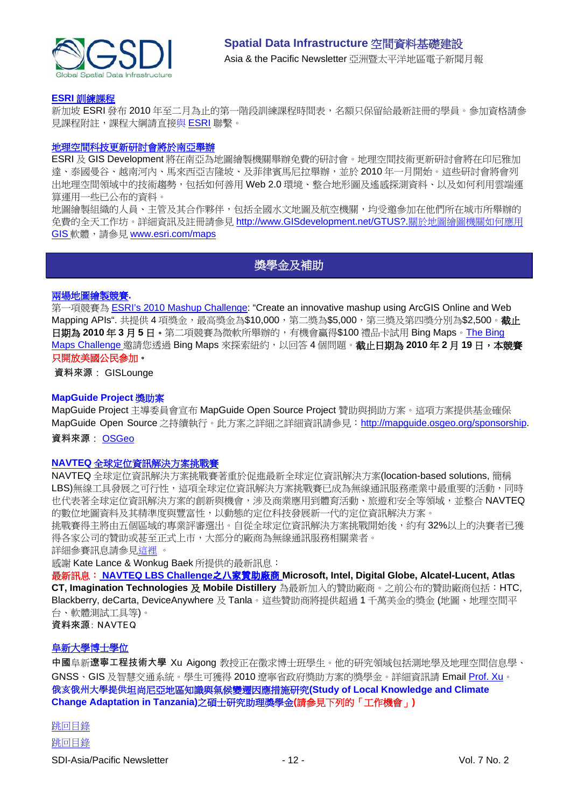

#### **ESRI** [訓練課程](http://www.esrisingapore.com.sg/training.html)

新加坡 ESRI 發布 2010 年至二月為止的第一階段訓練課程時間表,名額只保留給最新註冊的學員。參加資格請參 見課程附註,課程大綱請直接與 [ESRI](mailto:training@esrisa.com) 聯繫。

#### [地理空間科技更新研討會將於南亞舉辦](http://www.esri.com/news/releases/10_1qtr/geo-tech.html)

ESRI 及 GIS Development 將在南亞為地圖繪製機關舉辦免費的研討會。地理空間技術更新研討會將在印尼雅加 達、泰國曼谷、越南河內、馬來西亞吉隆坡、及菲律賓馬尼拉舉辦,並於 2010 年一月開始。這些研討會將會列 出地理空間領域中的技術趨勢,包括如何善用 Web 2.0 環境、整合地形圖及遙感探測資料、以及如何利用雲端運 算運用一些已公布的資料。

地圖繪製組織的人員、主管及其合作夥伴,包括全國水文地圖及航空機關,均受邀參加在他們所在城市所舉辦的 免費的全天工作坊。詳細資訊及註冊請參見 [http://www.GISdevelopment.net/GTUS?.](http://www.gisdevelopment.net/GTUS?.關於利用GIS)關於地圖繪圖機關如何應用 **[GIS](http://www.gisdevelopment.net/GTUS?.關於利用GIS)** 軟體,請參見 [www.esri.com/maps](http://www.esri.com/maps)

獎學金及補助

#### <span id="page-11-0"></span>[兩場地圖繪製競賽](http://gislounge.com/mapping-contests/)**.**

第一項競賽為 [ESRI's 2010 Mashup Challenge:](http://www.esri.com/software/mapping_for_everyone/api/mashup.html) "Create an innovative mashup using ArcGIS Online and Web Mapping APIs". 共提供 4 項獎金, 最高獎金為\$10,000, 第二獎為\$5,000, 第三獎及第四獎分別為\$2,500。截止 日期為 **2010** 年 **3** 月 **5** 日。第二項競賽為微軟所舉辦的,有機會贏得\$100 禮品卡試用 Bing Maps。[The Bing](http://discoverbingmaps.com/)  [Maps Challenge](http://discoverbingmaps.com/) 邀請您透過 Bing Maps 來探索紐約,以回答 4 個問題。截止日期為 **2010** 年 **2** 月 **19** 日,本競賽 只開放美國公民參加。

資料來源: GISLounge

#### **MapGuide Project** 獎助案

MapGuide Project 主導委員會宣布 MapGuide Open Source Project 贊助與捐助方案。這項方案提供基金確保 MapGuide Open Source 之持續執行。此方案之詳細之詳細資訊請參見:[http://mapguide.osgeo.org/sponsorship.](http://mapguide.osgeo.org/sponsorship)

資料來源: [OSGeo](http://www.osgeo.org/node/978)

#### **NAVTEQ** [全球定位資訊解決方案挑戰賽](http://developer.navteq.com/site/global/market/lbs_challenge/p_lbs_home.jsp)

NAVTEQ 全球定位資訊解決方案挑戰賽著重於促進最新全球定位資訊解決方案(location-based solutions, 簡稱 LBS)無線工具發展之可行性,這項全球定位資訊解決方案挑戰賽已成為無線通訊服務產業中最重要的活動,同時 也代表著全球定位資訊解決方案的創新與機會,涉及商業應用到體育活動、旅遊和安全等領域,並整合 NAVTEQ 的數位地圖資料及其精準度與豐富性,以動態的定位科技發展新一代的定位資訊解決方案。

挑戰賽得主將由五個區域的專業評審選出。自從全球定位資訊解決方案挑戰開始後,約有32%以上的決賽者已獲 得各家公司的贊助或甚至正式上市,大部分的廠商為無線通訊服務相關業者。

詳細參賽訊息請參[見這裡](http://developer.navteq.com/site/global/market/lbs_challenge/p_lbs_home.jsp) 。

感謝 Kate Lance & Wonkug Baek 所提供的最新訊息:

最新訊息: **[NAVTEQ LBS Challenge](http://corporate.navteq.com/webapps/NewsUserServlet?action=NewsDetail&newsId=824&lang=en&englishonly=false)**之八家贊助廠商 **Microsoft, Intel, Digital Globe, Alcatel-Lucent, Atlas CT, Imagination Technologies** 及 **Mobile Distillery** 為最新加入的贊助廠商。之前公布的贊助廠商包括:HTC, Blackberry, deCarta, DeviceAnywhere 及 Tanla。這些贊助商將提供超過 1 千萬美金的獎金 (地圖、地理空間平 台、軟體測試工具等)。 資料來源: NAVTEQ

#### 阜新大學博士學位

中國阜新遼寧工程技術大學 Xu Aigong 教授正在徵求博士班學生。他的研究領域包括測地學及地理空間信息學、 GNSS、GIS 及智慧交通系統。學生可獲得 2010 遼寧省政府獎助方案的獎學金。詳細資訊請 Email [Prof. Xu](mailto:%22xu_ag@126.com%22)。 俄亥俄州大學提供坦尚尼亞地區知識與氣候變遷因應措施研究**(Study of Local Knowledge and Climate Change Adaptation in Tanzania)**之碩士研究助理獎學金**(**請參見下列的「工作機會」**)**

#### [跳回目錄](#page-0-0)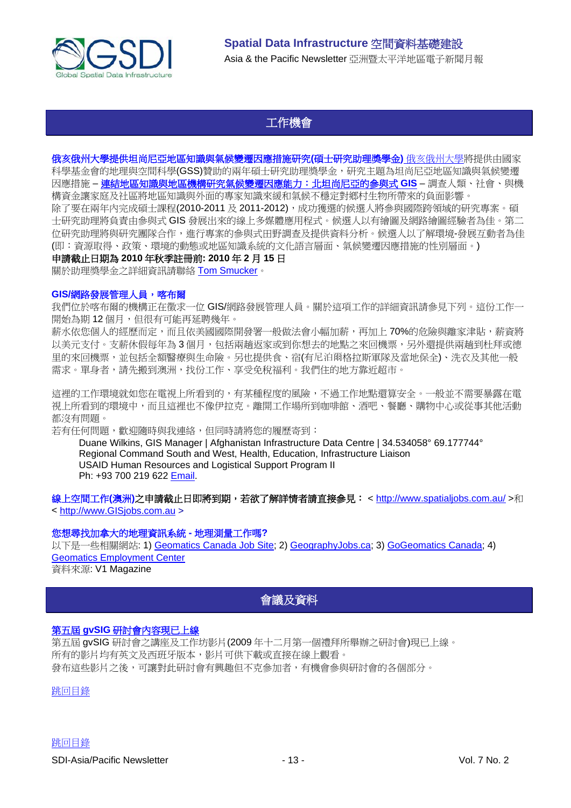

# 工作機會

<span id="page-12-0"></span>俄亥俄州大學提供坦尚尼亞地區知識與氣候變遷因應措施研究**(**碩士研究助理獎學金**)** [俄亥俄州大學將](http://www.ohio.edu/geography)提供由國家 科學基金會的地理與空間科學(GSS)贊助的兩年碩士研究助理獎學金,研究主題為坦尚尼亞地區知識與氣候變遷 因應措施 – [連結地區知識與地區機構研究氣候變遷因應能力:北坦尚尼亞的參與式](http://nsf.gov/awardsearch/showAward.do?AwardNumber=0921952) **GIS** – 調查人類、社會、與機 構資金讓家庭及社區將地區知識與外面的專家知識來緩和氣候不穩定對鄉村生物所帶來的負面影響。 除了要在兩年內完成碩士課程(2010-2011 及 2011-2012),成功獲選的候選人將參與國際跨領域的研究專案。碩 士研究助理將負責由參與式 GIS 發展出來的線上多媒體應用程式。候選人以有繪圖及網路繪圖經驗者為佳。第二 位研究助理將與研究團隊合作,進行專案的參與式田野調查及提供資料分析。候選人以了解環境-發展互動者為佳 (即:資源取得、政策、環境的動態或地區知識系統的文化語言層面、氣候變遷因應措施的性別層面。) 申請截止日期為 **2010** 年秋季註冊前**: 2010** 年 **2** 月 **15** 日

關於助理獎學金之詳細資訊請聯絡 [Tom Smucker](mailto:smucker@ohio.edu)。

#### **GIS/**網路發展管理人員,喀布爾

我們位於喀布爾的機構正在徵求一位 GIS/網路發展管理人員。關於這項工作的詳細資訊請參見下列。這份工作一 開始為期12個月,但很有可能再延聘幾年。

薪水依您個人的經歷而定,而且依美國國際開發署一般做法會小幅加薪,再加上 70%的危險與離家津貼,薪資將 以美元支付。支薪休假每年為 3 個月, 包括兩趟返家或到你想去的地點之來回機票, 另外還提供兩趟到杜拜或德 里的來回機票,並包括全額醫療與生命險。另也提供食、宿(有尼泊爾格拉斯軍隊及當地保全)、洗衣及其他一般 需求。單身者,請先搬到澳洲,找份工作、享受免稅福利。我們住的地方靠近超市。

這裡的工作環境就如您在電視上所看到的,有某種程度的風險,不過工作地點還算安全。一般並不需要暴露在電 視上所看到的環境中,而且這裡也不像伊拉克。離開工作場所到咖啡館、酒吧、餐廳、購物中心或從事其他活動 都沒有問題。

若有任何問題,歡迎隨時與我連絡,但同時請將您的履歷寄到:

Duane Wilkins, GIS Manager | Afghanistan Infrastructure Data Centre | 34.534058° 69.177744° Regional Command South and West, Health, Education, Infrastructure Liaison USAID Human Resources and Logistical Support Program II Ph: +93 700 219 622 [Email.](mailto:dwilkins@ird-hrls.org)

線上空間工作(澳洲)之申請截止日即將到期,若欲了解詳情者請直接參見: <<http://www.spatialjobs.com.au/> >和 < [http://www.GISjobs.com.au](http://www.gisjobs.com.au/) >

#### 您想尋找加拿大的地理資訊系統 **-** 地理測量工作嗎**?**

以下是一些相關網站: 1) [Geomatics Canada Job Site;](http://geomaticscanada.com/jobs.cfm) 2) [GeographyJobs.ca;](http://www.geographyjobs.ca/) 3) [GoGeomatics Canada;](http://canada.gogeomatics.net/frmHome.aspx) 4) [Geomatics Employment Center](http://gisjobs.ca/) 資料來源: V1 Magazine

<span id="page-12-1"></span>

## 會議及資料

#### 第五屆 **gvSIG** [研討會內容現已上線](http://jornadas.gvsig.org/comunicaciones/reports)

第五屆 gvSIG 研討會之講座及工作坊影片(2009 年十二月第一個禮拜所舉辦之研討會)現已上線。 所有的影片均有英文及西班牙版本,影片可供下載或直接在線上觀看。 發布這些影片之後,可讓對此研討會有興趣但不克參加者,有機會參與研討會的各個部分。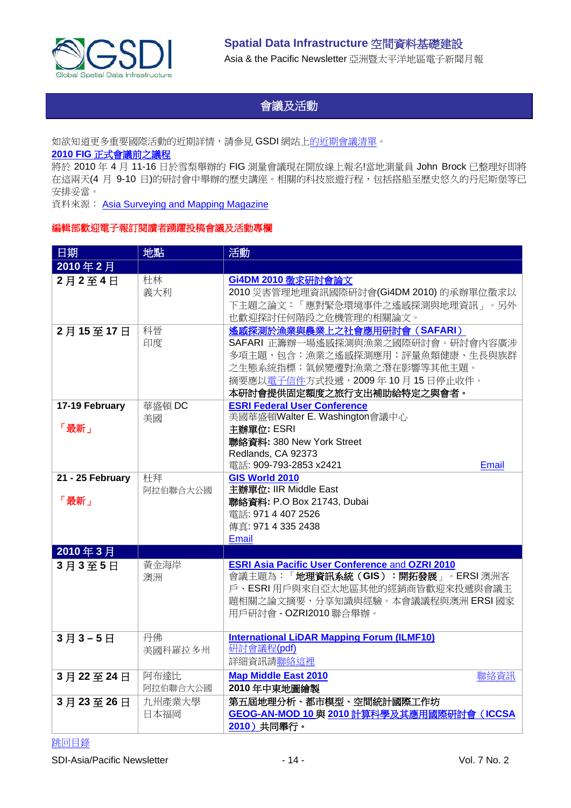

# 會議及活動

<span id="page-13-0"></span>如欲知道更多重要國際活動的近期詳情,請參見 GSDI 網站[上的近期會議清單。](http://gsdi.org/events/upcnf.asp)

### **2010 FIG** [正式會議前之議程](http://www.asmmag.com/news/fig-2010-pre-congress-program)

將於 2010 年 4 月 11-16 日於雪梨舉辦的 FIG 測量會議現在開放線上報名!當地測量員 John Brock 已整理好即將 在這兩天(4月 9-10日)的研討會中舉辦的歷史講座。相關的科技旅遊行程,包括搭船至歷史悠久的丹尼斯堡等已 安排妥當。

資料來源: Asia [Surveying and Mapping Magazine](http://www.asmmag.com/news/fig-2010-pre-congress-program)

#### 編輯部歡迎電子報訂閱讀者踴躍投稿會議及活動專欄

| 日期                       | 地點               | 活動                                                                                                                                                                                              |
|--------------------------|------------------|-------------------------------------------------------------------------------------------------------------------------------------------------------------------------------------------------|
| 2010年2月                  |                  |                                                                                                                                                                                                 |
| 2月2至4日                   | 杜林<br>義大利        | Gi4DM 2010 徵求研討會論文<br>2010 災害管理地理資訊國際研討會(Gi4DM 2010) 的承辦單位徵求以<br>下主題之論文:「應對緊急環境事件之遙感探測與地理資訊」。另外<br>也歡迎探討任何階段之危機管理的相關論文。                                                                         |
| 2月15至17日                 | 科晉<br>印度         | 遙感探測於漁業與農業上之社會應用研討會 (SAFARI)<br>SAFARI 正籌辦一場遙感探測與漁業之國際研討會。研討會內容廣涉<br>多項主題,包含:漁業之遙感探測應用;評量魚類健康、生長與族群<br>之生態系統指標;氣候變遷對漁業之潛在影響等其他主題。<br>摘要應以電子信件方式投遞,2009年10月15日停止收件。<br>本研討會提供固定額度之旅行支出補助給特定之與會者。 |
| 17-19 February<br>「最新」   | 華盛頓 DC<br>美國     | <b>ESRI Federal User Conference</b><br>美國華盛頓Walter E. Washington會議中心<br>主辦單位: ESRI<br>聯絡資料: 380 New York Street<br>Redlands, CA 92373<br>電話: 909-793-2853 x2421<br>Email                        |
| 21 - 25 February<br>「最新」 | 杜拜<br>阿拉伯聯合大公國   | GIS World 2010<br>主辦單位: IIR Middle East<br>聯絡資料: P.O Box 21743, Dubai<br>電話: 971 4 407 2526<br>傳真: 971 4 335 2438<br>Email                                                                      |
| 2010年3月                  |                  |                                                                                                                                                                                                 |
| 3月3至5日                   | 黃金海岸<br>澳洲       | <b>ESRI Asia Pacific User Conference and OZRI 2010</b><br>會議主題為:「地理資訊系統(GIS):開拓發展」。ERSI澳洲客<br>戶、ESRI用戶與來自亞太地區其他的經銷商皆歡迎來投遞與會議主<br>題相關之論文摘要,分享知識與經驗。本會議議程與澳洲 ERSI 國家<br>用戶研討會 - OZRI2010 聯合舉辦。    |
| 3月3-5日                   | 丹佛<br>美國科羅拉多州    | <b>International LiDAR Mapping Forum (ILMF10)</b><br>研討會議程(pdf)<br>詳細資訊請聯絡這裡                                                                                                                    |
| 3月22至24日                 | 阿布達比<br>阿拉伯聯合大公國 | <b>Map Middle East 2010</b><br>聯絡資訊<br>2010年中東地圖繪製                                                                                                                                              |
| 3月23至26日                 | 九州產業大學<br>日本福岡   | 第五屆地理分析、都市模型、空間統計國際工作坊<br>GEOG-AN-MOD 10 與 2010 計算科學及其應用國際研討會 (ICCSA<br>2010) 共同舉行。                                                                                                             |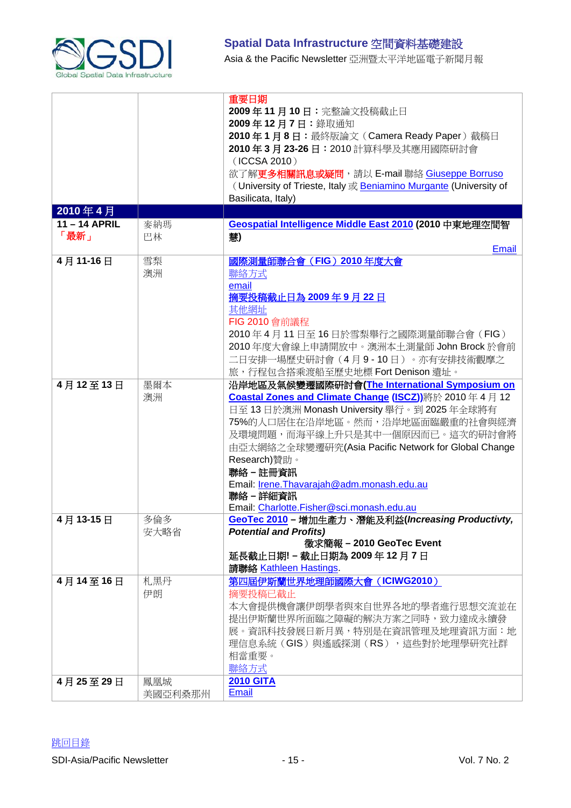

Asia & the Pacific Newsletter 亞洲暨太平洋地區電子新聞月報

|             |         | 重要日期                                                              |
|-------------|---------|-------------------------------------------------------------------|
|             |         |                                                                   |
|             |         | 2009年11月10日:完整論文投稿截止日                                             |
|             |         | 2009年12月7日:錄取通知                                                   |
|             |         | 2010年1月8日: 最終版論文 (Camera Ready Paper)截稿日                          |
|             |         | 2010年3月23-26日: 2010 計算科學及其應用國際研討會                                 |
|             |         | (ICCSA 2010)                                                      |
|             |         | 欲了解更多相關訊息或疑問,請以 E-mail 聯絡 Giuseppe Borruso                        |
|             |         | (University of Trieste, Italy 或 Beniamino Murgante (University of |
|             |         | Basilicata, Italy)                                                |
|             |         |                                                                   |
| 2010年4月     |         |                                                                   |
| 11-14 APRIL | 麥納瑪     | Geospatial Intelligence Middle East 2010 (2010 中東地理空間智            |
| 「最新」        | 巴林      | 慧)                                                                |
|             |         | Email                                                             |
| 4月11-16日    | 雪梨      | 國際測量師聯合會 (FIG) 2010年度大會                                           |
|             | 澳洲      | 聯絡方式                                                              |
|             |         | email                                                             |
|             |         | 摘要投稿截止日為 2009年9月22日                                               |
|             |         | 其他網址                                                              |
|             |         | FIG 2010 會前議程                                                     |
|             |         | 2010年4月11日至16日於雪梨舉行之國際測量師聯合會 (FIG)                                |
|             |         |                                                                   |
|             |         | 2010年度大會線上申請開放中。澳洲本土測量師 John Brock 於會前                            |
|             |         | 二日安排一場歷史研討會(4月9-10日)。亦有安排技術觀摩之                                    |
|             |         | 旅,行程包含搭乘渡船至歷史地標 Fort Denison 遺址。                                  |
| 4月12至13日    | 墨爾本     | 沿岸地區及氣候變遷國際研討會(The International Symposium on                     |
|             | 澳洲      | Coastal Zones and Climate Change (ISCZ))將於 2010年4月12              |
|             |         | 日至 13 日於澳洲 Monash University 舉行。到 2025年全球將有                       |
|             |         | 75%的人口居住在沿岸地區。然而,沿岸地區面臨嚴重的社會與經濟                                   |
|             |         | 及環境問題,而海平線上升只是其中一個原因而已。這次的研討會將                                    |
|             |         |                                                                   |
|             |         | 由亞太網絡之全球變遷研究(Asia Pacific Network for Global Change               |
|             |         | Research)贊助。                                                      |
|             |         | 聯絡 - 註冊資訊                                                         |
|             |         | Email: Irene. Thavarajah@adm. monash.edu.au                       |
|             |         | 聯絡 – 詳細資訊                                                         |
|             |         | Email: Charlotte.Fisher@sci.monash.edu.au                         |
| 4月13-15日    | 多倫多     | GeoTec 2010 - 增加生產力、潛能及利益(Increasing Productivty,                 |
|             | 安大略省    | <b>Potential and Profits)</b>                                     |
|             |         | 徵求簡報 - 2010 GeoTec Event                                          |
|             |         | 延長截止日期! - 截止日期為 2009年12月7日                                        |
|             |         | 請聯絡 Kathleen Hastings.                                            |
| 4月14至16日    | 札黑丹     | 第四屆伊斯蘭世界地理師國際大會 (ICIWG2010)                                       |
|             | 伊朗      | 摘要投稿已截止                                                           |
|             |         | 本大會提供機會讓伊朗學者與來自世界各地的學者進行思想交流並在                                    |
|             |         | 提出伊斯蘭世界所面臨之障礙的解決方案之同時,致力達成永續發                                     |
|             |         |                                                                   |
|             |         | 展。資訊科技發展日新月異,特別是在資訊管理及地理資訊方面:地                                    |
|             |         | 理信息系統(GIS)與遙感探測(RS),這些對於地理學研究社群                                   |
|             |         | 相當重要。                                                             |
|             |         | 聯絡方式                                                              |
| 4月25至29日    | 鳳凰城     | <b>2010 GITA</b>                                                  |
|             | 美國亞利桑那州 | Email                                                             |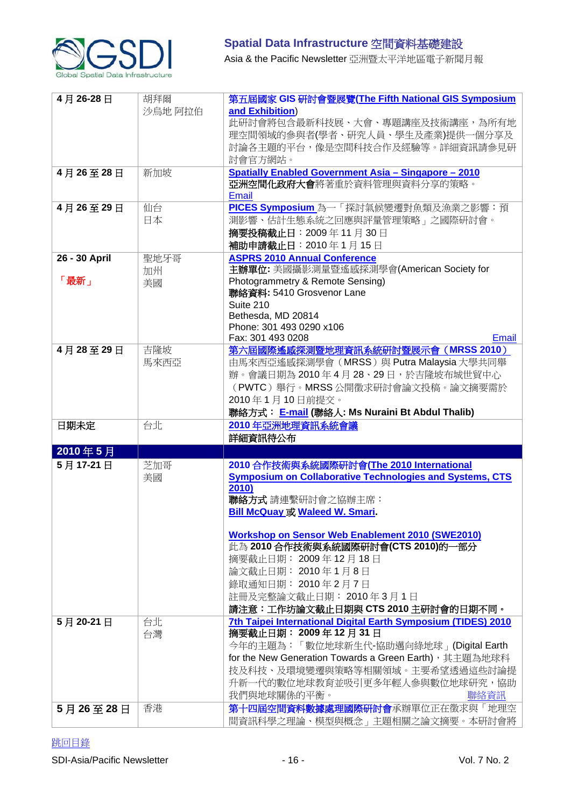

Asia & the Pacific Newsletter 亞洲暨太平洋地區電子新聞月報

| 4月26-28日              | 胡拜爾<br>沙烏地 阿拉伯   | 第五屆國家 GIS 研討會暨展覽(The Fifth National GIS Symposium<br>and Exhibition)<br>此研討會將包含最新科技展、大會、專題講座及技術講座,為所有地<br>理空間領域的參與者(學者、研究人員、學生及產業)提供一個分享及<br>討論各主題的平台,像是空間科技合作及經驗等。詳細資訊請參見研<br>討會官方網站。                                                                                                                                         |
|-----------------------|------------------|--------------------------------------------------------------------------------------------------------------------------------------------------------------------------------------------------------------------------------------------------------------------------------------------------------------------------------|
| 4月26至28日              | 新加坡              | <b>Spatially Enabled Government Asia - Singapore - 2010</b><br>亞洲空間化政府大會將著重於資料管理與資料分享的策略。<br><b>Email</b>                                                                                                                                                                                                                      |
| 4月26至29日              | 仙台<br>日本         | PICES Symposium 為一「探討氣候變遷對魚類及漁業之影響:預<br>測影響、估計生態系統之回應與評量管理策略」之國際研討會。<br>摘要投稿截止日: 2009年11月30日<br>補助申請截止日: 2010年1月15日                                                                                                                                                                                                            |
| 26 - 30 April<br>「最新」 | 聖地牙哥<br>加州<br>美國 | <b>ASPRS 2010 Annual Conference</b><br>主辦單位: 美國攝影測量暨遙感探測學會(American Society for<br>Photogrammetry & Remote Sensing)<br>聯絡資料: 5410 Grosvenor Lane<br>Suite 210<br>Bethesda, MD 20814<br>Phone: 301 493 0290 x106<br>Fax: 301 493 0208<br>Email                                                                                  |
| 4月28至29日              | 吉隆坡<br>馬來西亞      | 第六屆國際遙感探測暨地理資訊系統研討暨展示會 (MRSS 2010)<br>由馬來西亞遙感探測學會 (MRSS) 與 Putra Malaysia 大學共同舉<br>辦。會議日期為 2010年4月 28、29日,於吉隆坡布城世貿中心<br>(PWTC) 舉行。MRSS 公開徵求研討會論文投稿。論文摘要需於<br>2010年1月10日前提交。<br>聯絡方式: E-mail (聯絡人: Ms Nuraini Bt Abdul Thalib)                                                                                                  |
| 日期未定                  | 台北               | 2010年亞洲地理資訊系統會議<br>詳細資訊待公布                                                                                                                                                                                                                                                                                                     |
| 2010年5月               |                  |                                                                                                                                                                                                                                                                                                                                |
| 5月17-21日              | 芝加哥<br>美國        | 2010 合作技術與系統國際研討會(The 2010 International<br><b>Symposium on Collaborative Technologies and Systems, CTS</b><br>2010)<br>聯絡方式 請連繫研討會之協辦主席:<br><b>Bill McQuay 或 Waleed W. Smari</b><br><b>Workshop on Sensor Web Enablement 2010 (SWE2010)</b><br>此為 2010 合作技術與系統國際研討會(CTS 2010)的一部分<br>摘要截止日期: 2009年12月18日<br>論文截止日期: 2010年1月8日 |
| 5月20-21日              | 台北               | 錄取通知日期: 2010年2月7日<br>註冊及完整論文截止日期: 2010年3月1日<br>請注意:工作坊論文截止日期與 CTS 2010 主研討會的日期不同。<br>7th Taipei International Digital Earth Symposium (TIDES) 2010                                                                                                                                                                             |
|                       | 台灣               | 摘要截止日期: 2009年12月31日<br>今年的主題為:「數位地球新生代-協助邁向綠地球」(Digital Earth<br>for the New Generation Towards a Green Earth), 其主題為地球科<br>技及科技、及環境變遷與策略等相關領域。主要希望透過這些討論提<br>升新一代的數位地球教育並吸引更多年輕人參與數位地球研究,協助<br>聯絡資訊<br>我們與地球關係的平衡。                                                                                                             |
| 5月26至28日              | 香港               | 第十四屆空間資料數據處理國際研討會承辦單位正在徵求與「地理空<br>間資訊科學之理論、模型與概念」主題相關之論文摘要。本研討會將                                                                                                                                                                                                                                                               |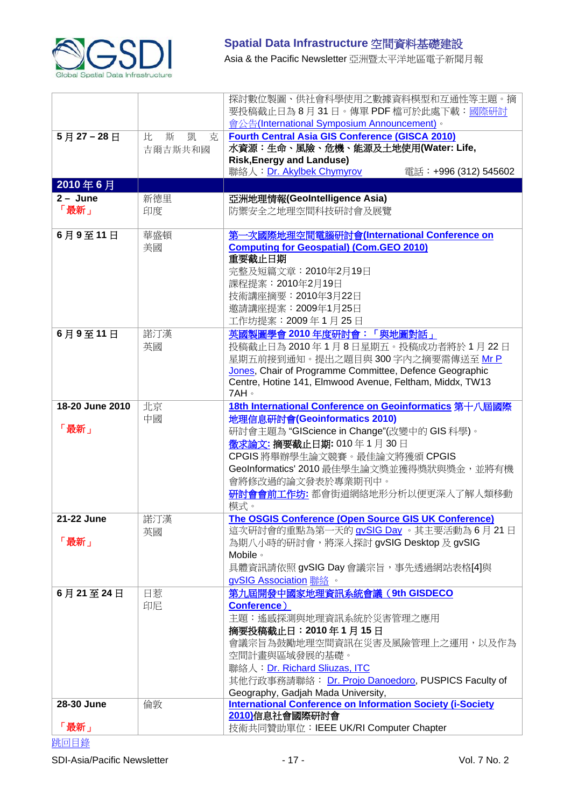

Asia & the Pacific Newsletter 亞洲暨太平洋地區電子新聞月報

|                         |                             | 探討數位製圖、供社會科學使用之數據資料模型和互通性等主題。摘<br>要投稿截止日為8月31日。傳單 PDF 檔可於此處下載:國際研討<br>會公告(International Symposium Announcement)。                                                                                                                                                                                           |
|-------------------------|-----------------------------|------------------------------------------------------------------------------------------------------------------------------------------------------------------------------------------------------------------------------------------------------------------------------------------------------------|
| 5月27-28日                | 克<br>比<br>斯<br>凱<br>吉爾吉斯共和國 | <b>Fourth Central Asia GIS Conference (GISCA 2010)</b><br>水資源:生命、風險、危機、能源及土地使用(Water: Life,<br><b>Risk, Energy and Landuse)</b><br>電話:+996 (312) 545602<br>聯絡人: Dr. Akylbek Chymyrov                                                                                                                       |
| 2010年6月                 |                             |                                                                                                                                                                                                                                                                                                            |
| $2 - June$<br>「最新」      | 新德里<br>印度                   | 亞洲地理情報(GeoIntelligence Asia)<br>防禦安全之地理空間科技研討會及展覽                                                                                                                                                                                                                                                          |
| 6月9至11日                 | 華盛頓<br>美國                   | 第一次國際地理空間電腦研討會(International Conference on<br><b>Computing for Geospatial) (Com.GEO 2010)</b><br>重要截止日期<br>完整及短篇文章: 2010年2月19日<br>課程提案: 2010年2月19日<br>技術講座摘要: 2010年3月22日<br>邀請講座提案: 2009年1月25日<br>工作坊提案: 2009年1月25日                                                                                        |
| 6月9至11日                 | 諾汀漢<br>英國                   | 英國製圖學會 2010年度研討會:「與地圖對話」<br>投稿截止日為2010年1月8日星期五。投稿成功者將於1月22日<br>星期五前接到通知。提出之題目與 300 字内之摘要需傳送至 Mr P<br>Jones, Chair of Programme Committee, Defence Geographic<br>Centre, Hotine 141, Elmwood Avenue, Feltham, Middx, TW13<br>7AH 。                                                                          |
| 18-20 June 2010<br>「最新」 | 北京<br>中國                    | 18th International Conference on Geoinformatics 第十八屆國際<br>地理信息研討會(Geoinformatics 2010)<br>研討會主題為"GIScience in Change"(改變中的 GIS 科學)。<br>微求論文:摘要截止日期: 010年1月30日<br>CPGIS 將舉辦學生論文競賽。最佳論文將獲頒 CPGIS<br>GeoInformatics' 2010 最佳學生論文獎並獲得獎狀與獎金, 並將有機<br>會將修改過的論文發表於專業期刊中。<br>研討會會前工作坊:都會街道網絡地形分析以便更深入了解人類移動<br>模式。 |
| 21-22 June<br>「最新」      | 諾汀漢<br>英國                   | <b>The OSGIS Conference (Open Source GIS UK Conference)</b><br>這次研討會的重點為第一天的 gvSIG Day。其主要活動為6月21日<br>為期八小時的研討會, 將深入探討 gvSIG Desktop 及 gvSIG<br>Mobile •<br>具體資訊請依照 gvSIG Day 會議宗旨,事先透過網站表格[4]與<br>gvSIG Association 聯絡。                                                                                   |
| 6月21至24日                | 日惹<br>印尼                    | 第九屆開發中國家地理資訊系統會議 (9th GISDECO<br>Conference)<br>主題:遙感探測與地理資訊系統於災害管理之應用<br>摘要投稿截止日: 2010年1月15日<br>會議宗旨為鼓勵地理空間資訊在災害及風險管理上之運用,以及作為<br>空間計畫與區域發展的基礎。<br>聯絡人: Dr. Richard Sliuzas, ITC<br>其他行政事務請聯絡: Dr. Projo Danoedoro, PUSPICS Faculty of<br>Geography, Gadjah Mada University,                              |
| 28-30 June<br>「最新」      | 倫敦                          | <b>International Conference on Information Society (i-Society</b><br>2010)信息社會國際研討會<br>技術共同贊助單位: IEEE UK/RI Computer Chapter                                                                                                                                                                               |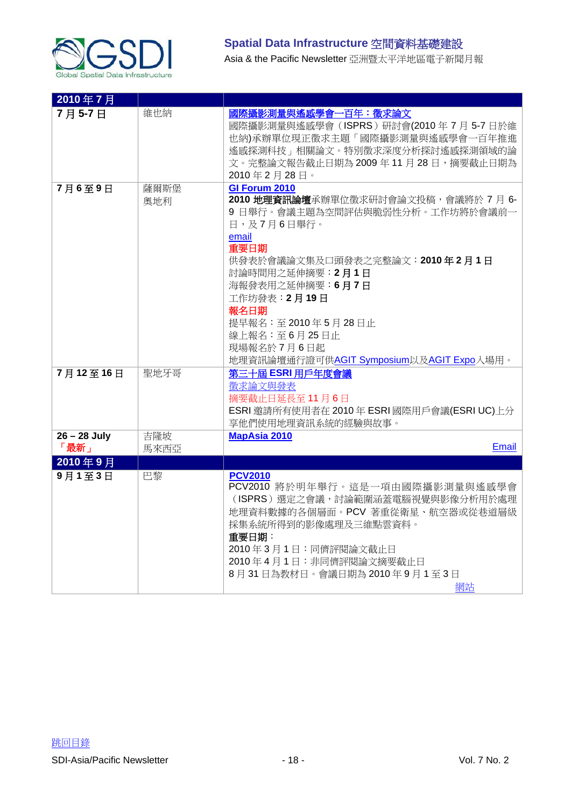

| 2010年7月                |             |                                                                                                                                                                                                                                                                                                                        |
|------------------------|-------------|------------------------------------------------------------------------------------------------------------------------------------------------------------------------------------------------------------------------------------------------------------------------------------------------------------------------|
| 7月5-7日                 | 維也納         | 國際攝影測量與遙感學會一百年:徵求論文<br>國際攝影測量與遙感學會(ISPRS)研討會(2010年7月5-7日於維<br>也納)承辦單位現正徵求主題「國際攝影測量與遙感學會一百年推進<br>遙感探測科技」相關論文。特別徵求深度分析探討遙感探測領域的論<br>文。完整論文報告截止日期為 2009年11月28日,摘要截止日期為<br>2010年2月28日。                                                                                                                                     |
| 7月6至9日                 | 薩爾斯堡<br>奧地利 | GI Forum 2010<br>2010 地理資訊論壇承辦單位徵求研討會論文投稿,會議將於 7 月 6-<br>9日舉行。會議主題為空間評估與脆弱性分析。工作坊將於會議前一<br>日,及7月6日舉行。<br>email<br>重要日期<br>供發表於會議論文集及口頭發表之完整論文: 2010年2月1日<br>討論時間用之延伸摘要:2月1日<br>海報發表用之延伸摘要:6月7日<br>工作坊發表: 2月19日<br>報名日期<br>提早報名: 至2010年5月28日止<br>線上報名:至6月25日止<br>現場報名於7月6日起<br>地理資訊論壇通行證可供AGIT Symposium以及AGIT Expo入場用。 |
| 7月12至16日               | 聖地牙哥        | 第三十屆 ESRI 用戶年度會議<br>徵求論文與發表<br>摘要截止日延長至11月6日<br>ESRI 邀請所有使用者在 2010年 ESRI 國際用戶會議(ESRI UC)上分<br>享他們使用地理資訊系統的經驗與故事。                                                                                                                                                                                                       |
| $26 - 28$ July<br>「最新」 | 吉隆坡<br>馬來西亞 | <b>MapAsia 2010</b><br>Email                                                                                                                                                                                                                                                                                           |
| 2010年9月                |             |                                                                                                                                                                                                                                                                                                                        |
| 9月1至3日                 | 巴黎          | <b>PCV2010</b><br>PCV2010 將於明年舉行。這是一項由國際攝影測量與遙感學會<br>(ISPRS)選定之會議, 討論範圍涵蓋電腦視覺與影像分析用於處理<br>地理資料數據的各個層面。PCV 著重從衛星、航空器或從巷道層級<br>採集系統所得到的影像處理及三維點雲資料。<br>重要日期:<br>2010年3月1日:同儕評閱論文截止日<br>2010年4月1日:非同儕評閱論文摘要截止日<br>8月31日為教材日。會議日期為2010年9月1至3日<br>網站                                                                        |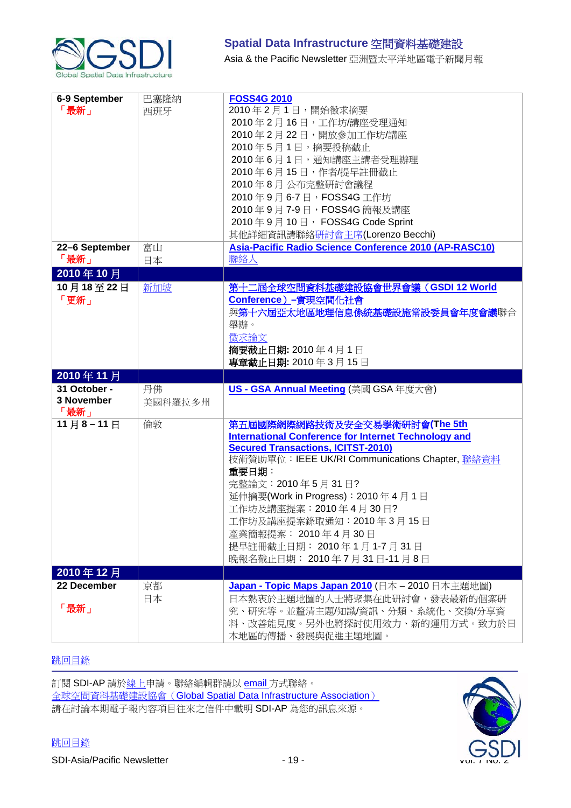

Asia & the Pacific Newsletter 亞洲暨太平洋地區電子新聞月報

| 6-9 September<br>「最新」              | 巴塞隆納<br>西班牙   | <b>FOSS4G 2010</b><br>2010年2月1日,開始徵求摘要<br>2010年2月16日,工作坊/講座受理通知<br>2010年2月22日,開放參加工作坊/講座<br>2010年5月1日, 摘要投稿截止<br>2010年6月1日,通知講座主講者受理辦理<br>2010年6月15日,作者/提早註冊截止<br>2010年8月公布完整研討會議程<br>2010年9月6-7日, FOSS4G工作坊<br>2010年9月7-9日, FOSS4G簡報及講座<br>2010年9月10日, FOSS4G Code Sprint<br>其他詳細資訊請聯絡研討會主席(Lorenzo Becchi)                                                                                        |
|------------------------------------|---------------|-----------------------------------------------------------------------------------------------------------------------------------------------------------------------------------------------------------------------------------------------------------------------------------------------------------------------------------------------------------------------------------------------------|
| 22-6 September<br>「最新」             | 富山<br>日本      | Asia-Pacific Radio Science Conference 2010 (AP-RASC10)<br>聯絡人                                                                                                                                                                                                                                                                                                                                       |
| 2010年10月                           |               |                                                                                                                                                                                                                                                                                                                                                                                                     |
| 10月18至22日<br>「更新」                  | 新加坡           | 第十二屆全球空間資料基礎建設協會世界會議 (GSDI 12 World<br>Conference)-實現空間化社會<br>與第十六屆亞太地區地理信息係統基礎設施常設委員會年度會議聯合<br>舉辦。<br>徵求論文<br>摘要截止日期: 2010年4月1日<br>專章截止日期: 2010年3月15日                                                                                                                                                                                                                                              |
| 2010年11月                           |               |                                                                                                                                                                                                                                                                                                                                                                                                     |
| 31 October -<br>3 November<br>「最新」 | 丹佛<br>美國科羅拉多州 | US - GSA Annual Meeting (美國 GSA 年度大會)                                                                                                                                                                                                                                                                                                                                                               |
| 11月8-11日                           | 倫敦            | 第五屆國際網際網路技術及安全交易學術研討會(The 5th<br><b>International Conference for Internet Technology and</b><br><b>Secured Transactions, ICITST-2010)</b><br>技術贊助單位: IEEE UK/RI Communications Chapter, 聯絡資料<br>重要日期:<br>完整論文: 2010年5月31日?<br>延伸摘要(Work in Progress): 2010年4月1日<br>工作坊及講座提案: 2010年4月30日?<br>工作坊及講座提案錄取通知: 2010年3月15日<br>產業簡報提案: 2010年4月30日<br>提早註冊截止日期: 2010年1月1-7月31日<br>晚報名截止日期: 2010年7月31日-11月8日 |
| 2010年12月                           |               |                                                                                                                                                                                                                                                                                                                                                                                                     |
| 22 December                        | 京都<br>日本      | Japan - Topic Maps Japan 2010 (日本-2010日本主題地圖)<br>日本熱衷於主題地圖的人士將聚集在此研討會,發表最新的個案研                                                                                                                                                                                                                                                                                                                      |

## [跳回目錄](#page-0-0)

[跳回目錄](#page-0-0)

訂閱 SDI-AP 請於<u>線上</u>申請。聯絡編輯群請以 [email](mailto:sdi-ap@gsdi.org) 方式聯絡。 全球空間資料基礎建設協會([Global Spatial Data Infrastructure Association](http://www.gsdi.org/)) 請在討論本期電子報內容項目往來之信件中載明 SDI-AP 為您的訊息來源。